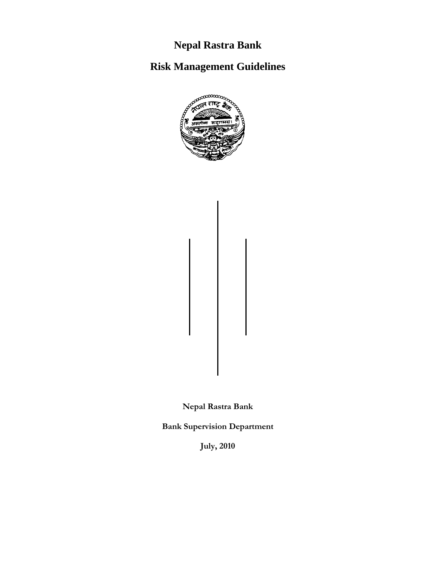**Nepal Rastra Bank** 

# **Risk Management Guidelines**



**Nepal Rastra Bank** 

**Bank Supervision Department** 

**July, 2010**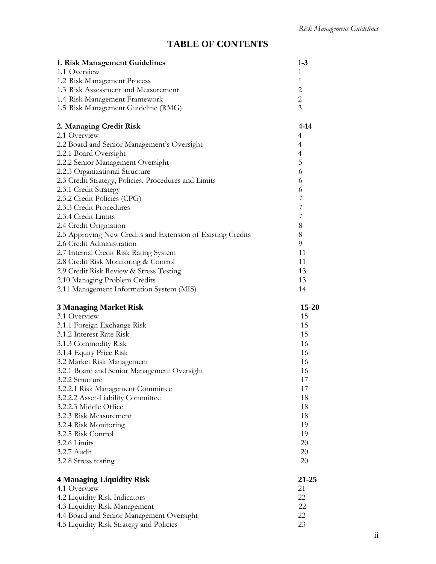# **TABLE OF CONTENTS**

| 1. Risk Management Guidelines                               | $1 - 3$                  |
|-------------------------------------------------------------|--------------------------|
| 1.1 Overview                                                | 1                        |
| 1.2 Risk Management Process                                 | 1                        |
| 1.3 Risk Assessment and Measurement                         | $\overline{c}$           |
| 1.4 Risk Management Framework                               | $\overline{c}$           |
| 1.5 Risk Management Guideline (RMG)                         | $\overline{3}$           |
| 2. Managing Credit Risk                                     | $4-14$                   |
| 2.1 Overview                                                | 4                        |
| 2.2 Board and Senior Management's Oversight                 | 4                        |
| 2.2.1 Board Oversight                                       | $\overline{4}$           |
| 2.2.2 Senior Management Oversight                           | 5                        |
| 2.2.3 Organizational Structure                              | 6                        |
| 2.3 Credit Strategy, Policies, Procedures and Limits        | 6                        |
| 2.3.1 Credit Strategy                                       | 6                        |
| 2.3.2 Credit Policies (CPG)                                 | $\overline{\mathcal{I}}$ |
| 2.3.3 Credit Procedures                                     | 7                        |
| 2.3.4 Credit Limits                                         | $\boldsymbol{7}$         |
| 2.4 Credit Origination                                      | 8                        |
| 2.5 Approving New Credits and Extension of Existing Credits | 8                        |
| 2.6 Credit Administration                                   | 9                        |
| 2.7 Internal Credit Risk Rating System                      | 11                       |
| 2.8 Credit Risk Monitoring & Control                        | 11                       |
| 2.9 Credit Risk Review & Stress Testing                     | 13                       |
| 2.10 Managing Problem Credits                               | 13                       |
| 2.11 Management Information System (MIS)                    | 14                       |
| <b>3 Managing Market Risk</b>                               | $15 - 20$                |
| $2.1$ Orromance                                             | 1 E                      |

| 3.1 Overview                                | 15    |
|---------------------------------------------|-------|
| 3.1.1 Foreign Exchange Risk                 | 15    |
| 3.1.2 Interest Rate Risk                    | 15    |
| 3.1.3 Commodity Risk                        | 16    |
| 3.1.4 Equity Price Risk                     | 16    |
| 3.2 Market Risk Management                  | 16    |
| 3.2.1 Board and Senior Management Oversight | 16    |
| 3.2.2 Structure                             | 17    |
| 3.2.2.1 Risk Management Committee           | 17    |
| 3.2.2.2 Asset-Liability Committee           | 18    |
| 3.2.2.3 Middle Office                       | 18    |
| 3.2.3 Risk Measurement                      | 18    |
| 3.2.4 Risk Monitoring                       | 19    |
| 3.2.5 Risk Control                          | 19    |
| 3.2.6 Limits                                | 20    |
| 3.2.7 Audit                                 | 20    |
| 3.2.8 Stress testing                        | 20    |
| <b>4 Managing Liquidity Risk</b>            | 21-25 |
| 4.1 Overview                                | 21    |

| 4.2 Liquidity Risk Indicators             | 22 |
|-------------------------------------------|----|
| 4.3 Liquidity Risk Management             | 22 |
| 4.4 Board and Senior Management Oversight | 22 |
| 4.5 Liquidity Risk Strategy and Policies  | 23 |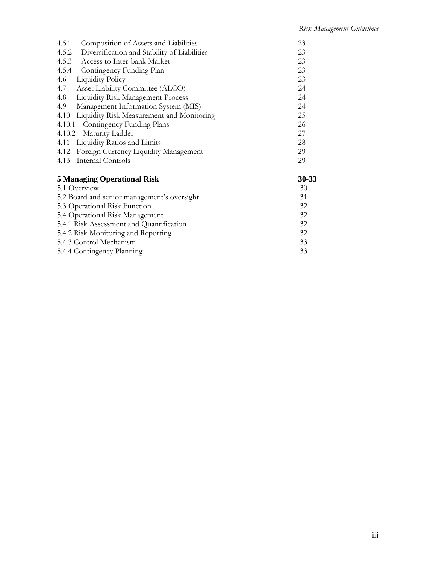| 4.5.1<br>Composition of Assets and Liabilities        | 23        |
|-------------------------------------------------------|-----------|
| Diversification and Stability of Liabilities<br>4.5.2 | 23        |
| 4.5.3<br>Access to Inter-bank Market                  | 23        |
| 4.5.4<br>Contingency Funding Plan                     | 23        |
| <b>Liquidity Policy</b><br>4.6                        | 23        |
| Asset Liability Committee (ALCO)<br>4.7               | 24        |
| Liquidity Risk Management Process<br>4.8              | 24        |
| Management Information System (MIS)<br>4.9            | 24        |
| Liquidity Risk Measurement and Monitoring<br>4.10     | 25        |
| 4.10.1 Contingency Funding Plans                      | 26        |
| 4.10.2 Maturity Ladder                                | 27        |
| Liquidity Ratios and Limits<br>4.11                   | 28        |
| Foreign Currency Liquidity Management<br>4.12         | 29        |
| <b>Internal Controls</b><br>4.13                      | 29        |
| <b>5 Managing Operational Risk</b>                    | $30 - 33$ |
| 5.1 Overview                                          | 30        |
| 5.2 Board and senior management's oversight           | 31        |
| 5.3 Operational Risk Function                         | 32        |
| 5.4 Operational Risk Management                       | 32        |
| 5.4.1 Risk Assessment and Quantification              | 32        |
| 5.4.2 Risk Monitoring and Reporting                   | 32        |
| 5.4.3 Control Mechanism                               | 33        |
| 5.4.4 Contingency Planning                            | 33        |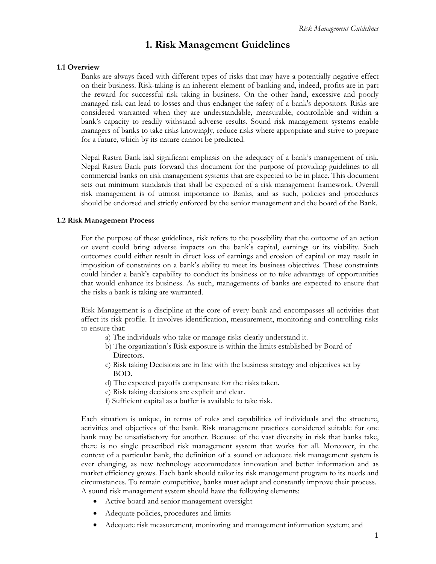# **1. Risk Management Guidelines**

## **1.1 Overview**

Banks are always faced with different types of risks that may have a potentially negative effect on their business. Risk-taking is an inherent element of banking and, indeed, profits are in part the reward for successful risk taking in business. On the other hand, excessive and poorly managed risk can lead to losses and thus endanger the safety of a bank's depositors. Risks are considered warranted when they are understandable, measurable, controllable and within a bank's capacity to readily withstand adverse results. Sound risk management systems enable managers of banks to take risks knowingly, reduce risks where appropriate and strive to prepare for a future, which by its nature cannot be predicted.

Nepal Rastra Bank laid significant emphasis on the adequacy of a bank's management of risk. Nepal Rastra Bank puts forward this document for the purpose of providing guidelines to all commercial banks on risk management systems that are expected to be in place. This document sets out minimum standards that shall be expected of a risk management framework. Overall risk management is of utmost importance to Banks, and as such, policies and procedures should be endorsed and strictly enforced by the senior management and the board of the Bank.

#### **1.2 Risk Management Process**

For the purpose of these guidelines, risk refers to the possibility that the outcome of an action or event could bring adverse impacts on the bank's capital, earnings or its viability. Such outcomes could either result in direct loss of earnings and erosion of capital or may result in imposition of constraints on a bank's ability to meet its business objectives. These constraints could hinder a bank's capability to conduct its business or to take advantage of opportunities that would enhance its business. As such, managements of banks are expected to ensure that the risks a bank is taking are warranted.

Risk Management is a discipline at the core of every bank and encompasses all activities that affect its risk profile. It involves identification, measurement, monitoring and controlling risks to ensure that:

- a) The individuals who take or manage risks clearly understand it.
- b) The organization's Risk exposure is within the limits established by Board of Directors.
- c) Risk taking Decisions are in line with the business strategy and objectives set by BOD.
- d) The expected payoffs compensate for the risks taken.
- e) Risk taking decisions are explicit and clear.
- f) Sufficient capital as a buffer is available to take risk.

Each situation is unique, in terms of roles and capabilities of individuals and the structure, activities and objectives of the bank. Risk management practices considered suitable for one bank may be unsatisfactory for another. Because of the vast diversity in risk that banks take, there is no single prescribed risk management system that works for all. Moreover, in the context of a particular bank, the definition of a sound or adequate risk management system is ever changing, as new technology accommodates innovation and better information and as market efficiency grows. Each bank should tailor its risk management program to its needs and circumstances. To remain competitive, banks must adapt and constantly improve their process. A sound risk management system should have the following elements:

- Active board and senior management oversight
- Adequate policies, procedures and limits
- Adequate risk measurement, monitoring and management information system; and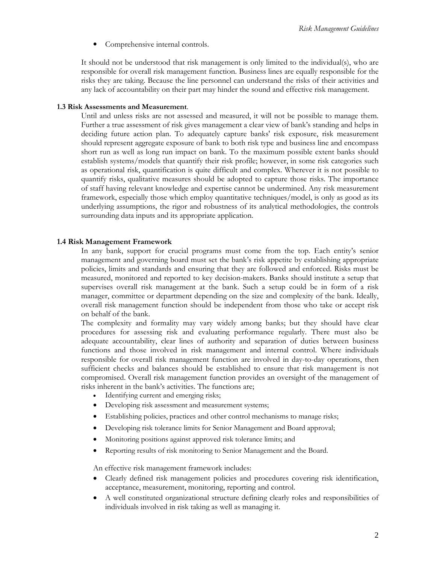Comprehensive internal controls.

It should not be understood that risk management is only limited to the individual(s), who are responsible for overall risk management function. Business lines are equally responsible for the risks they are taking. Because the line personnel can understand the risks of their activities and any lack of accountability on their part may hinder the sound and effective risk management.

#### **1.3 Risk Assessments and Measurement**.

Until and unless risks are not assessed and measured, it will not be possible to manage them. Further a true assessment of risk gives management a clear view of bank's standing and helps in deciding future action plan. To adequately capture banks' risk exposure, risk measurement should represent aggregate exposure of bank to both risk type and business line and encompass short run as well as long run impact on bank. To the maximum possible extent banks should establish systems/models that quantify their risk profile; however, in some risk categories such as operational risk, quantification is quite difficult and complex. Wherever it is not possible to quantify risks, qualitative measures should be adopted to capture those risks. The importance of staff having relevant knowledge and expertise cannot be undermined. Any risk measurement framework, especially those which employ quantitative techniques/model, is only as good as its underlying assumptions, the rigor and robustness of its analytical methodologies, the controls surrounding data inputs and its appropriate application.

#### **1.4 Risk Management Framework**

In any bank, support for crucial programs must come from the top. Each entity's senior management and governing board must set the bank's risk appetite by establishing appropriate policies, limits and standards and ensuring that they are followed and enforced. Risks must be measured, monitored and reported to key decision-makers. Banks should institute a setup that supervises overall risk management at the bank. Such a setup could be in form of a risk manager, committee or department depending on the size and complexity of the bank. Ideally, overall risk management function should be independent from those who take or accept risk on behalf of the bank.

The complexity and formality may vary widely among banks; but they should have clear procedures for assessing risk and evaluating performance regularly. There must also be adequate accountability, clear lines of authority and separation of duties between business functions and those involved in risk management and internal control. Where individuals responsible for overall risk management function are involved in day-to-day operations, then sufficient checks and balances should be established to ensure that risk management is not compromised. Overall risk management function provides an oversight of the management of risks inherent in the bank's activities. The functions are;

- Identifying current and emerging risks;
- Developing risk assessment and measurement systems;
- Establishing policies, practices and other control mechanisms to manage risks;
- Developing risk tolerance limits for Senior Management and Board approval;
- Monitoring positions against approved risk tolerance limits; and
- Reporting results of risk monitoring to Senior Management and the Board.

An effective risk management framework includes:

- Clearly defined risk management policies and procedures covering risk identification, acceptance, measurement, monitoring, reporting and control.
- A well constituted organizational structure defining clearly roles and responsibilities of individuals involved in risk taking as well as managing it.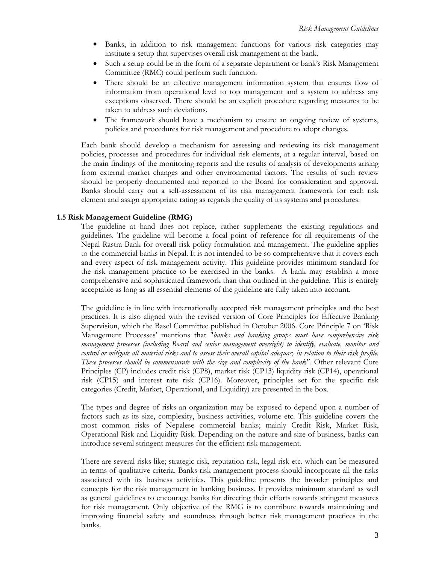- Banks, in addition to risk management functions for various risk categories may institute a setup that supervises overall risk management at the bank.
- Such a setup could be in the form of a separate department or bank's Risk Management Committee (RMC) could perform such function.
- There should be an effective management information system that ensures flow of information from operational level to top management and a system to address any exceptions observed. There should be an explicit procedure regarding measures to be taken to address such deviations.
- The framework should have a mechanism to ensure an ongoing review of systems, policies and procedures for risk management and procedure to adopt changes.

Each bank should develop a mechanism for assessing and reviewing its risk management policies, processes and procedures for individual risk elements, at a regular interval, based on the main findings of the monitoring reports and the results of analysis of developments arising from external market changes and other environmental factors. The results of such review should be properly documented and reported to the Board for consideration and approval. Banks should carry out a self-assessment of its risk management framework for each risk element and assign appropriate rating as regards the quality of its systems and procedures.

#### **1.5 Risk Management Guideline (RMG)**

The guideline at hand does not replace, rather supplements the existing regulations and guidelines. The guideline will become a focal point of reference for all requirements of the Nepal Rastra Bank for overall risk policy formulation and management. The guideline applies to the commercial banks in Nepal. It is not intended to be so comprehensive that it covers each and every aspect of risk management activity. This guideline provides minimum standard for the risk management practice to be exercised in the banks. A bank may establish a more comprehensive and sophisticated framework than that outlined in the guideline. This is entirely acceptable as long as all essential elements of the guideline are fully taken into account.

The guideline is in line with internationally accepted risk management principles and the best practices. It is also aligned with the revised version of Core Principles for Effective Banking Supervision, which the Basel Committee published in October 2006. Core Principle 7 on 'Risk Management Processes' mentions that "*banks and banking groups must have comprehensive risk management processes (including Board and senior management oversight) to identify, evaluate, monitor and control or mitigate all material risks and to assess their overall capital adequacy in relation to their risk profile. These processes should be commensurate with the size and complexity of the bank".* Other relevant Core Principles (CP) includes credit risk (CP8), market risk (CP13) liquidity risk (CP14), operational risk (CP15) and interest rate risk (CP16). Moreover, principles set for the specific risk categories (Credit, Market, Operational, and Liquidity) are presented in the box.

The types and degree of risks an organization may be exposed to depend upon a number of factors such as its size, complexity, business activities, volume etc. This guideline covers the most common risks of Nepalese commercial banks; mainly Credit Risk, Market Risk, Operational Risk and Liquidity Risk. Depending on the nature and size of business, banks can introduce several stringent measures for the efficient risk management.

There are several risks like; strategic risk, reputation risk, legal risk etc. which can be measured in terms of qualitative criteria. Banks risk management process should incorporate all the risks associated with its business activities. This guideline presents the broader principles and concepts for the risk management in banking business. It provides minimum standard as well as general guidelines to encourage banks for directing their efforts towards stringent measures for risk management. Only objective of the RMG is to contribute towards maintaining and improving financial safety and soundness through better risk management practices in the banks.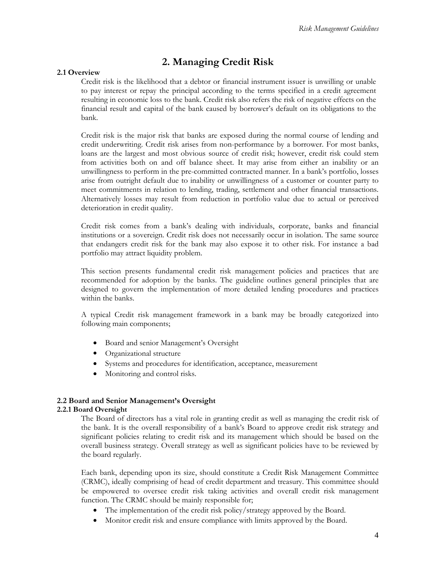# **2. Managing Credit Risk**

# **2.1 Overview**

Credit risk is the likelihood that a debtor or financial instrument issuer is unwilling or unable to pay interest or repay the principal according to the terms specified in a credit agreement resulting in economic loss to the bank. Credit risk also refers the risk of negative effects on the financial result and capital of the bank caused by borrower's default on its obligations to the bank.

Credit risk is the major risk that banks are exposed during the normal course of lending and credit underwriting. Credit risk arises from non-performance by a borrower. For most banks, loans are the largest and most obvious source of credit risk; however, credit risk could stem from activities both on and off balance sheet. It may arise from either an inability or an unwillingness to perform in the pre-committed contracted manner. In a bank's portfolio, losses arise from outright default due to inability or unwillingness of a customer or counter party to meet commitments in relation to lending, trading, settlement and other financial transactions. Alternatively losses may result from reduction in portfolio value due to actual or perceived deterioration in credit quality.

Credit risk comes from a bank's dealing with individuals, corporate, banks and financial institutions or a sovereign. Credit risk does not necessarily occur in isolation. The same source that endangers credit risk for the bank may also expose it to other risk. For instance a bad portfolio may attract liquidity problem.

This section presents fundamental credit risk management policies and practices that are recommended for adoption by the banks. The guideline outlines general principles that are designed to govern the implementation of more detailed lending procedures and practices within the banks.

A typical Credit risk management framework in a bank may be broadly categorized into following main components;

- Board and senior Management's Oversight
- Organizational structure
- Systems and procedures for identification, acceptance, measurement
- Monitoring and control risks.

#### **2.2 Board and Senior Management's Oversight**

#### **2.2.1 Board Oversight**

The Board of directors has a vital role in granting credit as well as managing the credit risk of the bank. It is the overall responsibility of a bank's Board to approve credit risk strategy and significant policies relating to credit risk and its management which should be based on the overall business strategy. Overall strategy as well as significant policies have to be reviewed by the board regularly.

Each bank, depending upon its size, should constitute a Credit Risk Management Committee (CRMC), ideally comprising of head of credit department and treasury. This committee should be empowered to oversee credit risk taking activities and overall credit risk management function. The CRMC should be mainly responsible for;

- The implementation of the credit risk policy/strategy approved by the Board.
- Monitor credit risk and ensure compliance with limits approved by the Board.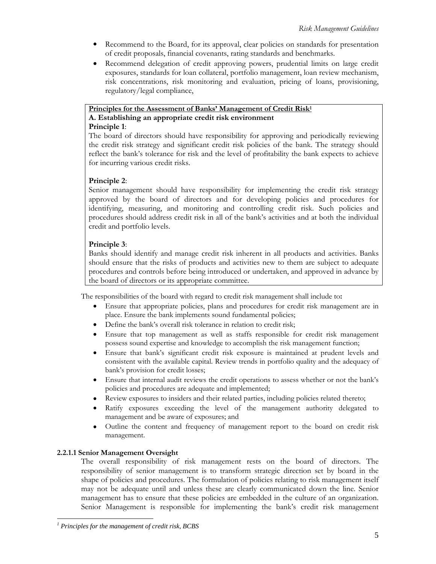- Recommend to the Board, for its approval, clear policies on standards for presentation of credit proposals, financial covenants, rating standards and benchmarks.
- Recommend delegation of credit approving powers, prudential limits on large credit exposures, standards for loan collateral, portfolio management, loan review mechanism, risk concentrations, risk monitoring and evaluation, pricing of loans, provisioning, regulatory/legal compliance,

#### **Principles for the Assessment of Banks' Management of Credit Risk1 A. Establishing an appropriate credit risk environment**

# **Principle 1**:

The board of directors should have responsibility for approving and periodically reviewing the credit risk strategy and significant credit risk policies of the bank. The strategy should reflect the bank's tolerance for risk and the level of profitability the bank expects to achieve for incurring various credit risks.

# **Principle 2**:

Senior management should have responsibility for implementing the credit risk strategy approved by the board of directors and for developing policies and procedures for identifying, measuring, and monitoring and controlling credit risk. Such policies and procedures should address credit risk in all of the bank's activities and at both the individual credit and portfolio levels.

# **Principle 3**:

Banks should identify and manage credit risk inherent in all products and activities. Banks should ensure that the risks of products and activities new to them are subject to adequate procedures and controls before being introduced or undertaken, and approved in advance by the board of directors or its appropriate committee.

The responsibilities of the board with regard to credit risk management shall include to**:** 

- Ensure that appropriate policies, plans and procedures for credit risk management are in place. Ensure the bank implements sound fundamental policies;
- Define the bank's overall risk tolerance in relation to credit risk;
- Ensure that top management as well as staffs responsible for credit risk management possess sound expertise and knowledge to accomplish the risk management function;
- Ensure that bank's significant credit risk exposure is maintained at prudent levels and consistent with the available capital. Review trends in portfolio quality and the adequacy of bank's provision for credit losses;
- Ensure that internal audit reviews the credit operations to assess whether or not the bank's policies and procedures are adequate and implemented;
- Review exposures to insiders and their related parties, including policies related thereto;
- Ratify exposures exceeding the level of the management authority delegated to management and be aware of exposures; and
- Outline the content and frequency of management report to the board on credit risk management.

# **2.2.1.1 Senior Management Oversight**

The overall responsibility of risk management rests on the board of directors. The responsibility of senior management is to transform strategic direction set by board in the shape of policies and procedures. The formulation of policies relating to risk management itself may not be adequate until and unless these are clearly communicated down the line. Senior management has to ensure that these policies are embedded in the culture of an organization. Senior Management is responsible for implementing the bank's credit risk management

 $\overline{\phantom{a}}$ *1 Principles for the management of credit risk, BCBS*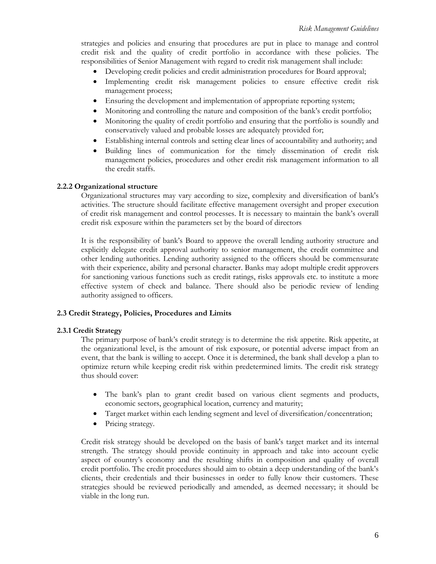strategies and policies and ensuring that procedures are put in place to manage and control credit risk and the quality of credit portfolio in accordance with these policies. The responsibilities of Senior Management with regard to credit risk management shall include:

- Developing credit policies and credit administration procedures for Board approval;
- Implementing credit risk management policies to ensure effective credit risk management process;
- Ensuring the development and implementation of appropriate reporting system;
- Monitoring and controlling the nature and composition of the bank's credit portfolio;
- Monitoring the quality of credit portfolio and ensuring that the portfolio is soundly and conservatively valued and probable losses are adequately provided for;
- Establishing internal controls and setting clear lines of accountability and authority; and
- Building lines of communication for the timely dissemination of credit risk management policies, procedures and other credit risk management information to all the credit staffs.

#### **2.2.2 Organizational structure**

Organizational structures may vary according to size, complexity and diversification of bank's activities. The structure should facilitate effective management oversight and proper execution of credit risk management and control processes. It is necessary to maintain the bank's overall credit risk exposure within the parameters set by the board of directors

It is the responsibility of bank's Board to approve the overall lending authority structure and explicitly delegate credit approval authority to senior management, the credit committee and other lending authorities. Lending authority assigned to the officers should be commensurate with their experience, ability and personal character. Banks may adopt multiple credit approvers for sanctioning various functions such as credit ratings, risks approvals etc. to institute a more effective system of check and balance. There should also be periodic review of lending authority assigned to officers.

#### **2.3 Credit Strategy, Policies, Procedures and Limits**

#### **2.3.1 Credit Strategy**

The primary purpose of bank's credit strategy is to determine the risk appetite. Risk appetite, at the organizational level, is the amount of risk exposure, or potential adverse impact from an event, that the bank is willing to accept. Once it is determined, the bank shall develop a plan to optimize return while keeping credit risk within predetermined limits. The credit risk strategy thus should cover:

- The bank's plan to grant credit based on various client segments and products, economic sectors, geographical location, currency and maturity;
- Target market within each lending segment and level of diversification/concentration;
- Pricing strategy.

Credit risk strategy should be developed on the basis of bank's target market and its internal strength. The strategy should provide continuity in approach and take into account cyclic aspect of country's economy and the resulting shifts in composition and quality of overall credit portfolio. The credit procedures should aim to obtain a deep understanding of the bank's clients, their credentials and their businesses in order to fully know their customers. These strategies should be reviewed periodically and amended, as deemed necessary; it should be viable in the long run.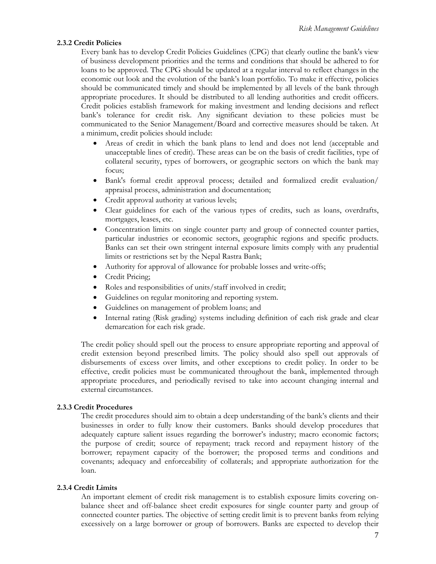#### **2.3.2 Credit Policies**

Every bank has to develop Credit Policies Guidelines (CPG) that clearly outline the bank's view of business development priorities and the terms and conditions that should be adhered to for loans to be approved. The CPG should be updated at a regular interval to reflect changes in the economic out look and the evolution of the bank's loan portfolio. To make it effective, policies should be communicated timely and should be implemented by all levels of the bank through appropriate procedures. It should be distributed to all lending authorities and credit officers. Credit policies establish framework for making investment and lending decisions and reflect bank's tolerance for credit risk. Any significant deviation to these policies must be communicated to the Senior Management/Board and corrective measures should be taken. At a minimum, credit policies should include:

- Areas of credit in which the bank plans to lend and does not lend (acceptable and unacceptable lines of credit). These areas can be on the basis of credit facilities, type of collateral security, types of borrowers, or geographic sectors on which the bank may focus;
- Bank's formal credit approval process; detailed and formalized credit evaluation/ appraisal process, administration and documentation;
- Credit approval authority at various levels;
- Clear guidelines for each of the various types of credits, such as loans, overdrafts, mortgages, leases, etc.
- Concentration limits on single counter party and group of connected counter parties, particular industries or economic sectors, geographic regions and specific products. Banks can set their own stringent internal exposure limits comply with any prudential limits or restrictions set by the Nepal Rastra Bank;
- Authority for approval of allowance for probable losses and write-offs;
- Credit Pricing;
- Roles and responsibilities of units/staff involved in credit;
- Guidelines on regular monitoring and reporting system.
- Guidelines on management of problem loans; and
- Internal rating (Risk grading) systems including definition of each risk grade and clear demarcation for each risk grade.

The credit policy should spell out the process to ensure appropriate reporting and approval of credit extension beyond prescribed limits. The policy should also spell out approvals of disbursements of excess over limits, and other exceptions to credit policy. In order to be effective, credit policies must be communicated throughout the bank, implemented through appropriate procedures, and periodically revised to take into account changing internal and external circumstances.

#### **2.3.3 Credit Procedures**

The credit procedures should aim to obtain a deep understanding of the bank's clients and their businesses in order to fully know their customers. Banks should develop procedures that adequately capture salient issues regarding the borrower's industry; macro economic factors; the purpose of credit; source of repayment; track record and repayment history of the borrower; repayment capacity of the borrower; the proposed terms and conditions and covenants; adequacy and enforceability of collaterals; and appropriate authorization for the loan.

#### **2.3.4 Credit Limits**

An important element of credit risk management is to establish exposure limits covering onbalance sheet and off-balance sheet credit exposures for single counter party and group of connected counter parties. The objective of setting credit limit is to prevent banks from relying excessively on a large borrower or group of borrowers. Banks are expected to develop their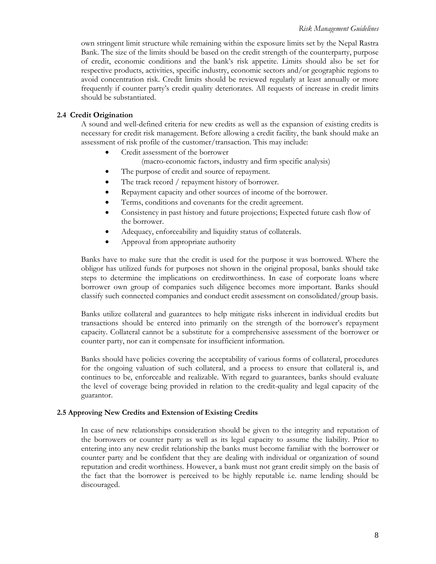own stringent limit structure while remaining within the exposure limits set by the Nepal Rastra Bank. The size of the limits should be based on the credit strength of the counterparty, purpose of credit, economic conditions and the bank's risk appetite. Limits should also be set for respective products, activities, specific industry, economic sectors and/or geographic regions to avoid concentration risk. Credit limits should be reviewed regularly at least annually or more frequently if counter party's credit quality deteriorates. All requests of increase in credit limits should be substantiated.

# **2.4 Credit Origination**

A sound and well-defined criteria for new credits as well as the expansion of existing credits is necessary for credit risk management. Before allowing a credit facility, the bank should make an assessment of risk profile of the customer/transaction. This may include:

- Credit assessment of the borrower
	- (macro-economic factors, industry and firm specific analysis)
- The purpose of credit and source of repayment.
- The track record / repayment history of borrower.
- Repayment capacity and other sources of income of the borrower.
- Terms, conditions and covenants for the credit agreement.
- Consistency in past history and future projections; Expected future cash flow of the borrower.
- Adequacy, enforceability and liquidity status of collaterals.
- Approval from appropriate authority

Banks have to make sure that the credit is used for the purpose it was borrowed. Where the obligor has utilized funds for purposes not shown in the original proposal, banks should take steps to determine the implications on creditworthiness. In case of corporate loans where borrower own group of companies such diligence becomes more important. Banks should classify such connected companies and conduct credit assessment on consolidated/group basis.

Banks utilize collateral and guarantees to help mitigate risks inherent in individual credits but transactions should be entered into primarily on the strength of the borrower's repayment capacity. Collateral cannot be a substitute for a comprehensive assessment of the borrower or counter party, nor can it compensate for insufficient information.

Banks should have policies covering the acceptability of various forms of collateral, procedures for the ongoing valuation of such collateral, and a process to ensure that collateral is, and continues to be, enforceable and realizable. With regard to guarantees, banks should evaluate the level of coverage being provided in relation to the credit-quality and legal capacity of the guarantor.

#### **2.5 Approving New Credits and Extension of Existing Credits**

In case of new relationships consideration should be given to the integrity and reputation of the borrowers or counter party as well as its legal capacity to assume the liability. Prior to entering into any new credit relationship the banks must become familiar with the borrower or counter party and be confident that they are dealing with individual or organization of sound reputation and credit worthiness. However, a bank must not grant credit simply on the basis of the fact that the borrower is perceived to be highly reputable i.e. name lending should be discouraged.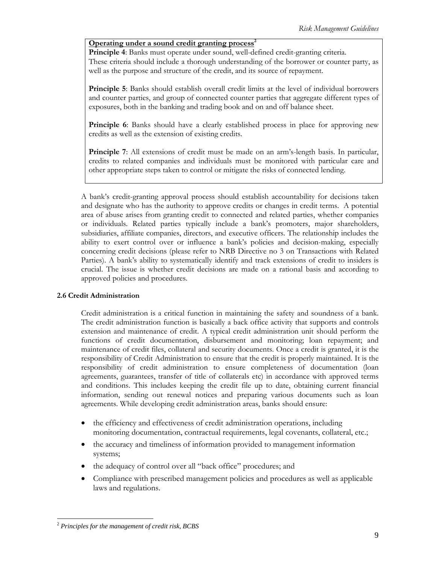# Operating under a sound credit granting process<sup>2</sup>

**Principle 4**: Banks must operate under sound, well-defined credit-granting criteria. These criteria should include a thorough understanding of the borrower or counter party, as well as the purpose and structure of the credit, and its source of repayment.

**Principle 5**: Banks should establish overall credit limits at the level of individual borrowers and counter parties, and group of connected counter parties that aggregate different types of exposures, both in the banking and trading book and on and off balance sheet.

**Principle 6**: Banks should have a clearly established process in place for approving new credits as well as the extension of existing credits.

**Principle 7**: All extensions of credit must be made on an arm's-length basis. In particular, credits to related companies and individuals must be monitored with particular care and other appropriate steps taken to control or mitigate the risks of connected lending.

A bank's credit-granting approval process should establish accountability for decisions taken and designate who has the authority to approve credits or changes in credit terms. A potential area of abuse arises from granting credit to connected and related parties, whether companies or individuals. Related parties typically include a bank's promoters, major shareholders, subsidiaries, affiliate companies, directors, and executive officers. The relationship includes the ability to exert control over or influence a bank's policies and decision-making, especially concerning credit decisions (please refer to NRB Directive no 3 on Transactions with Related Parties). A bank's ability to systematically identify and track extensions of credit to insiders is crucial. The issue is whether credit decisions are made on a rational basis and according to approved policies and procedures.

# **2.6 Credit Administration**

Credit administration is a critical function in maintaining the safety and soundness of a bank. The credit administration function is basically a back office activity that supports and controls extension and maintenance of credit. A typical credit administration unit should perform the functions of credit documentation, disbursement and monitoring; loan repayment; and maintenance of credit files, collateral and security documents. Once a credit is granted, it is the responsibility of Credit Administration to ensure that the credit is properly maintained. It is the responsibility of credit administration to ensure completeness of documentation (loan agreements, guarantees, transfer of title of collaterals etc) in accordance with approved terms and conditions. This includes keeping the credit file up to date, obtaining current financial information, sending out renewal notices and preparing various documents such as loan agreements. While developing credit administration areas, banks should ensure:

- the efficiency and effectiveness of credit administration operations, including monitoring documentation, contractual requirements, legal covenants, collateral, etc.;
- the accuracy and timeliness of information provided to management information systems;
- the adequacy of control over all "back office" procedures; and
- Compliance with prescribed management policies and procedures as well as applicable laws and regulations.

 $\overline{\phantom{a}}$ <sup>2</sup> *Principles for the management of credit risk, BCBS*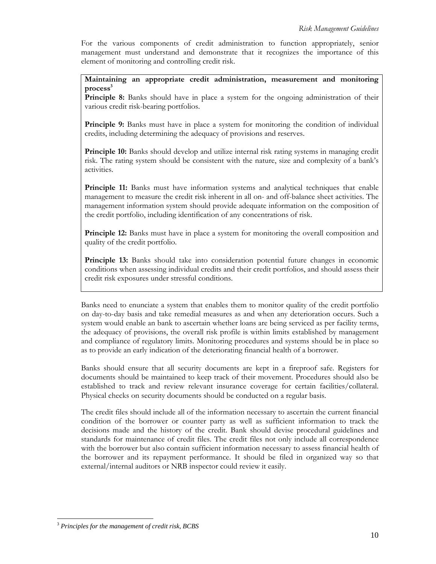For the various components of credit administration to function appropriately, senior management must understand and demonstrate that it recognizes the importance of this element of monitoring and controlling credit risk.

**Maintaining an appropriate credit administration, measurement and monitoring**  process<sup>3</sup>

**Principle 8:** Banks should have in place a system for the ongoing administration of their various credit risk-bearing portfolios.

**Principle 9:** Banks must have in place a system for monitoring the condition of individual credits, including determining the adequacy of provisions and reserves.

**Principle 10:** Banks should develop and utilize internal risk rating systems in managing credit risk. The rating system should be consistent with the nature, size and complexity of a bank's activities.

**Principle 11:** Banks must have information systems and analytical techniques that enable management to measure the credit risk inherent in all on- and off-balance sheet activities. The management information system should provide adequate information on the composition of the credit portfolio, including identification of any concentrations of risk.

**Principle 12:** Banks must have in place a system for monitoring the overall composition and quality of the credit portfolio.

**Principle 13:** Banks should take into consideration potential future changes in economic conditions when assessing individual credits and their credit portfolios, and should assess their credit risk exposures under stressful conditions.

Banks need to enunciate a system that enables them to monitor quality of the credit portfolio on day-to-day basis and take remedial measures as and when any deterioration occurs. Such a system would enable an bank to ascertain whether loans are being serviced as per facility terms, the adequacy of provisions, the overall risk profile is within limits established by management and compliance of regulatory limits. Monitoring procedures and systems should be in place so as to provide an early indication of the deteriorating financial health of a borrower.

Banks should ensure that all security documents are kept in a fireproof safe. Registers for documents should be maintained to keep track of their movement. Procedures should also be established to track and review relevant insurance coverage for certain facilities/collateral. Physical checks on security documents should be conducted on a regular basis.

The credit files should include all of the information necessary to ascertain the current financial condition of the borrower or counter party as well as sufficient information to track the decisions made and the history of the credit. Bank should devise procedural guidelines and standards for maintenance of credit files. The credit files not only include all correspondence with the borrower but also contain sufficient information necessary to assess financial health of the borrower and its repayment performance. It should be filed in organized way so that external/internal auditors or NRB inspector could review it easily.

 $\overline{\phantom{a}}$ 

<sup>3</sup>  *Principles for the management of credit risk, BCBS*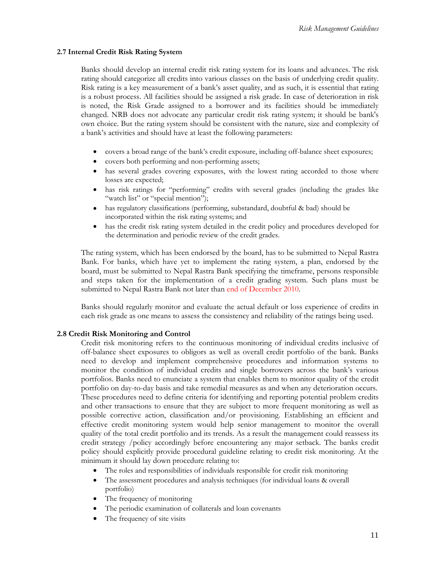#### **2.7 Internal Credit Risk Rating System**

Banks should develop an internal credit risk rating system for its loans and advances. The risk rating should categorize all credits into various classes on the basis of underlying credit quality. Risk rating is a key measurement of a bank's asset quality, and as such, it is essential that rating is a robust process. All facilities should be assigned a risk grade. In case of deterioration in risk is noted, the Risk Grade assigned to a borrower and its facilities should be immediately changed. NRB does not advocate any particular credit risk rating system; it should be bank's own choice. But the rating system should be consistent with the nature, size and complexity of a bank's activities and should have at least the following parameters:

- covers a broad range of the bank's credit exposure, including off-balance sheet exposures;
- covers both performing and non-performing assets;
- has several grades covering exposures, with the lowest rating accorded to those where losses are expected;
- has risk ratings for "performing" credits with several grades (including the grades like "watch list" or "special mention");
- has regulatory classifications (performing, substandard, doubtful & bad) should be incorporated within the risk rating systems; and
- has the credit risk rating system detailed in the credit policy and procedures developed for the determination and periodic review of the credit grades.

The rating system, which has been endorsed by the board, has to be submitted to Nepal Rastra Bank. For banks, which have yet to implement the rating system, a plan, endorsed by the board, must be submitted to Nepal Rastra Bank specifying the timeframe, persons responsible and steps taken for the implementation of a credit grading system. Such plans must be submitted to Nepal Rastra Bank not later than end of December 2010.

Banks should regularly monitor and evaluate the actual default or loss experience of credits in each risk grade as one means to assess the consistency and reliability of the ratings being used.

# **2.8 Credit Risk Monitoring and Control**

Credit risk monitoring refers to the continuous monitoring of individual credits inclusive of off-balance sheet exposures to obligors as well as overall credit portfolio of the bank. Banks need to develop and implement comprehensive procedures and information systems to monitor the condition of individual credits and single borrowers across the bank's various portfolios. Banks need to enunciate a system that enables them to monitor quality of the credit portfolio on day-to-day basis and take remedial measures as and when any deterioration occurs. These procedures need to define criteria for identifying and reporting potential problem credits and other transactions to ensure that they are subject to more frequent monitoring as well as possible corrective action, classification and/or provisioning. Establishing an efficient and effective credit monitoring system would help senior management to monitor the overall quality of the total credit portfolio and its trends. As a result the management could reassess its credit strategy /policy accordingly before encountering any major setback. The banks credit policy should explicitly provide procedural guideline relating to credit risk monitoring. At the minimum it should lay down procedure relating to:

- The roles and responsibilities of individuals responsible for credit risk monitoring
- The assessment procedures and analysis techniques (for individual loans & overall portfolio)
- The frequency of monitoring
- The periodic examination of collaterals and loan covenants
- The frequency of site visits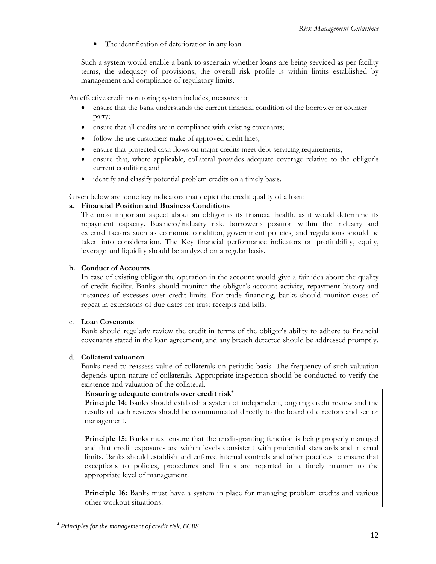• The identification of deterioration in any loan

Such a system would enable a bank to ascertain whether loans are being serviced as per facility terms, the adequacy of provisions, the overall risk profile is within limits established by management and compliance of regulatory limits.

An effective credit monitoring system includes, measures to:

- ensure that the bank understands the current financial condition of the borrower or counter party;
- ensure that all credits are in compliance with existing covenants;
- follow the use customers make of approved credit lines;
- ensure that projected cash flows on major credits meet debt servicing requirements;
- ensure that, where applicable, collateral provides adequate coverage relative to the obligor's current condition; and
- identify and classify potential problem credits on a timely basis.

Given below are some key indicators that depict the credit quality of a loan:

# **a. Financial Position and Business Conditions**

The most important aspect about an obligor is its financial health, as it would determine its repayment capacity. Business/industry risk, borrower's position within the industry and external factors such as economic condition, government policies, and regulations should be taken into consideration. The Key financial performance indicators on profitability, equity, leverage and liquidity should be analyzed on a regular basis.

# **b. Conduct of Accounts**

In case of existing obligor the operation in the account would give a fair idea about the quality of credit facility. Banks should monitor the obligor's account activity, repayment history and instances of excesses over credit limits. For trade financing, banks should monitor cases of repeat in extensions of due dates for trust receipts and bills.

#### c. **Loan Covenants**

Bank should regularly review the credit in terms of the obligor's ability to adhere to financial covenants stated in the loan agreement, and any breach detected should be addressed promptly.

# d. **Collateral valuation**

Banks need to reassess value of collaterals on periodic basis. The frequency of such valuation depends upon nature of collaterals. Appropriate inspection should be conducted to verify the existence and valuation of the collateral.

#### **Ensuring adequate controls over credit risk4**

**Principle 14:** Banks should establish a system of independent, ongoing credit review and the results of such reviews should be communicated directly to the board of directors and senior management.

**Principle 15:** Banks must ensure that the credit-granting function is being properly managed and that credit exposures are within levels consistent with prudential standards and internal limits. Banks should establish and enforce internal controls and other practices to ensure that exceptions to policies, procedures and limits are reported in a timely manner to the appropriate level of management.

Principle 16: Banks must have a system in place for managing problem credits and various other workout situations.

 $\overline{\phantom{a}}$ 

<sup>4</sup>  *Principles for the management of credit risk, BCBS*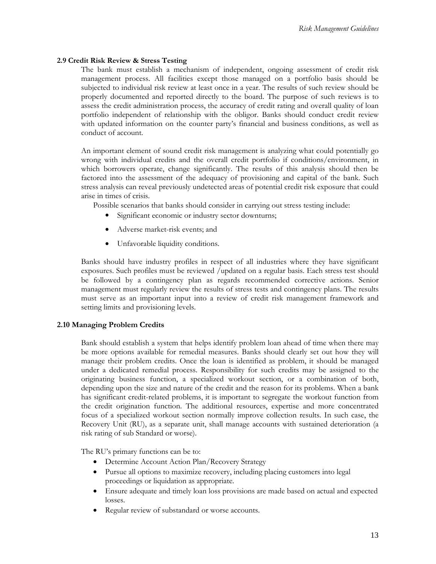#### **2.9 Credit Risk Review & Stress Testing**

The bank must establish a mechanism of independent, ongoing assessment of credit risk management process. All facilities except those managed on a portfolio basis should be subjected to individual risk review at least once in a year. The results of such review should be properly documented and reported directly to the board. The purpose of such reviews is to assess the credit administration process, the accuracy of credit rating and overall quality of loan portfolio independent of relationship with the obligor. Banks should conduct credit review with updated information on the counter party's financial and business conditions, as well as conduct of account.

An important element of sound credit risk management is analyzing what could potentially go wrong with individual credits and the overall credit portfolio if conditions/environment, in which borrowers operate, change significantly. The results of this analysis should then be factored into the assessment of the adequacy of provisioning and capital of the bank. Such stress analysis can reveal previously undetected areas of potential credit risk exposure that could arise in times of crisis.

Possible scenarios that banks should consider in carrying out stress testing include:

- Significant economic or industry sector downturns;
- Adverse market-risk events; and
- Unfavorable liquidity conditions.

Banks should have industry profiles in respect of all industries where they have significant exposures. Such profiles must be reviewed /updated on a regular basis. Each stress test should be followed by a contingency plan as regards recommended corrective actions. Senior management must regularly review the results of stress tests and contingency plans. The results must serve as an important input into a review of credit risk management framework and setting limits and provisioning levels.

#### **2.10 Managing Problem Credits**

Bank should establish a system that helps identify problem loan ahead of time when there may be more options available for remedial measures. Banks should clearly set out how they will manage their problem credits. Once the loan is identified as problem, it should be managed under a dedicated remedial process. Responsibility for such credits may be assigned to the originating business function, a specialized workout section, or a combination of both, depending upon the size and nature of the credit and the reason for its problems. When a bank has significant credit-related problems, it is important to segregate the workout function from the credit origination function. The additional resources, expertise and more concentrated focus of a specialized workout section normally improve collection results. In such case, the Recovery Unit (RU), as a separate unit, shall manage accounts with sustained deterioration (a risk rating of sub Standard or worse).

The RU's primary functions can be to:

- Determine Account Action Plan/Recovery Strategy
- Pursue all options to maximize recovery, including placing customers into legal proceedings or liquidation as appropriate.
- Ensure adequate and timely loan loss provisions are made based on actual and expected losses.
- Regular review of substandard or worse accounts.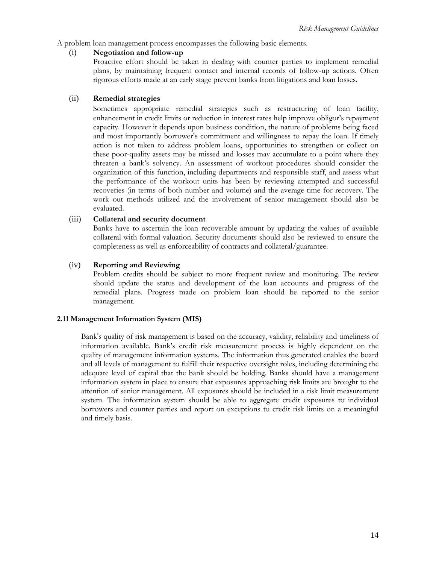A problem loan management process encompasses the following basic elements.

#### (i) **Negotiation and follow-up**

Proactive effort should be taken in dealing with counter parties to implement remedial plans, by maintaining frequent contact and internal records of follow-up actions. Often rigorous efforts made at an early stage prevent banks from litigations and loan losses.

#### (ii) **Remedial strategies**

Sometimes appropriate remedial strategies such as restructuring of loan facility, enhancement in credit limits or reduction in interest rates help improve obligor's repayment capacity. However it depends upon business condition, the nature of problems being faced and most importantly borrower's commitment and willingness to repay the loan. If timely action is not taken to address problem loans, opportunities to strengthen or collect on these poor-quality assets may be missed and losses may accumulate to a point where they threaten a bank's solvency. An assessment of workout procedures should consider the organization of this function, including departments and responsible staff, and assess what the performance of the workout units has been by reviewing attempted and successful recoveries (in terms of both number and volume) and the average time for recovery. The work out methods utilized and the involvement of senior management should also be evaluated.

#### (iii) **Collateral and security document**

Banks have to ascertain the loan recoverable amount by updating the values of available collateral with formal valuation. Security documents should also be reviewed to ensure the completeness as well as enforceability of contracts and collateral/guarantee.

#### (iv) **Reporting and Reviewing**

Problem credits should be subject to more frequent review and monitoring. The review should update the status and development of the loan accounts and progress of the remedial plans. Progress made on problem loan should be reported to the senior management.

#### **2.11 Management Information System (MIS)**

Bank's quality of risk management is based on the accuracy, validity, reliability and timeliness of information available. Bank's credit risk measurement process is highly dependent on the quality of management information systems. The information thus generated enables the board and all levels of management to fulfill their respective oversight roles, including determining the adequate level of capital that the bank should be holding. Banks should have a management information system in place to ensure that exposures approaching risk limits are brought to the attention of senior management. All exposures should be included in a risk limit measurement system. The information system should be able to aggregate credit exposures to individual borrowers and counter parties and report on exceptions to credit risk limits on a meaningful and timely basis.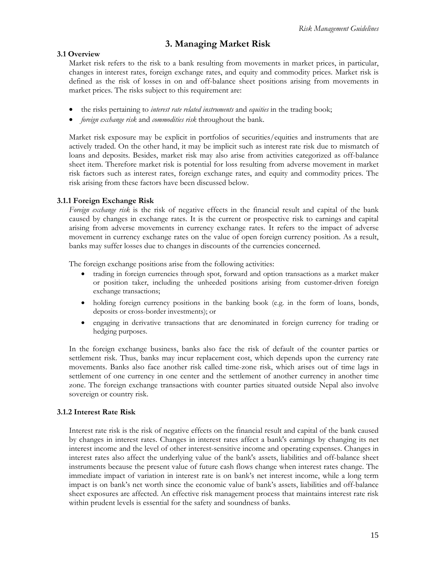# **3. Managing Market Risk**

## **3.1 Overview**

Market risk refers to the risk to a bank resulting from movements in market prices, in particular, changes in interest rates, foreign exchange rates, and equity and commodity prices. Market risk is defined as the risk of losses in on and off-balance sheet positions arising from movements in market prices. The risks subject to this requirement are:

- the risks pertaining to *interest rate related instruments* and *equities* in the trading book;
- *foreign exchange risk* and *commodities risk* throughout the bank.

Market risk exposure may be explicit in portfolios of securities/equities and instruments that are actively traded. On the other hand, it may be implicit such as interest rate risk due to mismatch of loans and deposits. Besides, market risk may also arise from activities categorized as off-balance sheet item. Therefore market risk is potential for loss resulting from adverse movement in market risk factors such as interest rates, foreign exchange rates, and equity and commodity prices. The risk arising from these factors have been discussed below.

# **3.1.1 Foreign Exchange Risk**

*Foreign exchange risk* is the risk of negative effects in the financial result and capital of the bank caused by changes in exchange rates. It is the current or prospective risk to earnings and capital arising from adverse movements in currency exchange rates. It refers to the impact of adverse movement in currency exchange rates on the value of open foreign currency position. As a result, banks may suffer losses due to changes in discounts of the currencies concerned.

The foreign exchange positions arise from the following activities:

- trading in foreign currencies through spot, forward and option transactions as a market maker or position taker, including the unheeded positions arising from customer-driven foreign exchange transactions;
- holding foreign currency positions in the banking book (e.g. in the form of loans, bonds, deposits or cross-border investments); or
- engaging in derivative transactions that are denominated in foreign currency for trading or hedging purposes.

In the foreign exchange business, banks also face the risk of default of the counter parties or settlement risk. Thus, banks may incur replacement cost, which depends upon the currency rate movements. Banks also face another risk called time-zone risk, which arises out of time lags in settlement of one currency in one center and the settlement of another currency in another time zone. The foreign exchange transactions with counter parties situated outside Nepal also involve sovereign or country risk.

#### **3.1.2 Interest Rate Risk**

Interest rate risk is the risk of negative effects on the financial result and capital of the bank caused by changes in interest rates. Changes in interest rates affect a bank's earnings by changing its net interest income and the level of other interest-sensitive income and operating expenses. Changes in interest rates also affect the underlying value of the bank's assets, liabilities and off-balance sheet instruments because the present value of future cash flows change when interest rates change. The immediate impact of variation in interest rate is on bank's net interest income, while a long term impact is on bank's net worth since the economic value of bank's assets, liabilities and off-balance sheet exposures are affected. An effective risk management process that maintains interest rate risk within prudent levels is essential for the safety and soundness of banks.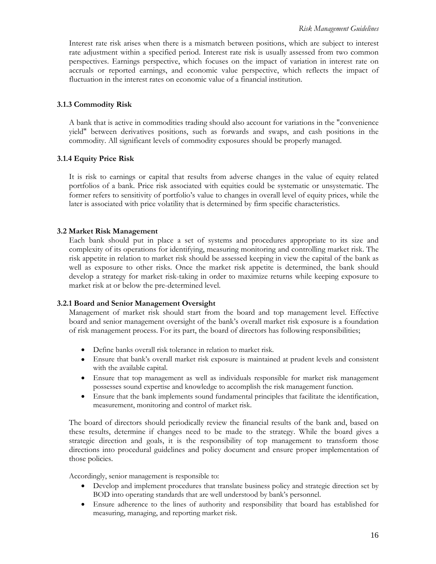Interest rate risk arises when there is a mismatch between positions, which are subject to interest rate adjustment within a specified period. Interest rate risk is usually assessed from two common perspectives. Earnings perspective, which focuses on the impact of variation in interest rate on accruals or reported earnings, and economic value perspective, which reflects the impact of fluctuation in the interest rates on economic value of a financial institution.

## **3.1.3 Commodity Risk**

A bank that is active in commodities trading should also account for variations in the "convenience yield" between derivatives positions, such as forwards and swaps, and cash positions in the commodity. All significant levels of commodity exposures should be properly managed.

# **3.1.4 Equity Price Risk**

It is risk to earnings or capital that results from adverse changes in the value of equity related portfolios of a bank. Price risk associated with equities could be systematic or unsystematic. The former refers to sensitivity of portfolio's value to changes in overall level of equity prices, while the later is associated with price volatility that is determined by firm specific characteristics.

# **3.2 Market Risk Management**

Each bank should put in place a set of systems and procedures appropriate to its size and complexity of its operations for identifying, measuring monitoring and controlling market risk. The risk appetite in relation to market risk should be assessed keeping in view the capital of the bank as well as exposure to other risks. Once the market risk appetite is determined, the bank should develop a strategy for market risk-taking in order to maximize returns while keeping exposure to market risk at or below the pre-determined level.

#### **3.2.1 Board and Senior Management Oversight**

Management of market risk should start from the board and top management level. Effective board and senior management oversight of the bank's overall market risk exposure is a foundation of risk management process. For its part, the board of directors has following responsibilities;

- Define banks overall risk tolerance in relation to market risk.
- Ensure that bank's overall market risk exposure is maintained at prudent levels and consistent with the available capital.
- Ensure that top management as well as individuals responsible for market risk management possesses sound expertise and knowledge to accomplish the risk management function.
- Ensure that the bank implements sound fundamental principles that facilitate the identification, measurement, monitoring and control of market risk.

The board of directors should periodically review the financial results of the bank and, based on these results, determine if changes need to be made to the strategy. While the board gives a strategic direction and goals, it is the responsibility of top management to transform those directions into procedural guidelines and policy document and ensure proper implementation of those policies.

Accordingly, senior management is responsible to:

- Develop and implement procedures that translate business policy and strategic direction set by BOD into operating standards that are well understood by bank's personnel.
- Ensure adherence to the lines of authority and responsibility that board has established for measuring, managing, and reporting market risk.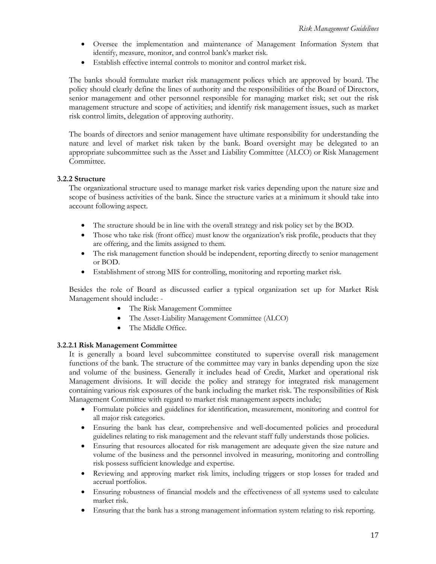- Oversee the implementation and maintenance of Management Information System that identify, measure, monitor, and control bank's market risk.
- Establish effective internal controls to monitor and control market risk.

The banks should formulate market risk management polices which are approved by board. The policy should clearly define the lines of authority and the responsibilities of the Board of Directors, senior management and other personnel responsible for managing market risk; set out the risk management structure and scope of activities; and identify risk management issues, such as market risk control limits, delegation of approving authority.

The boards of directors and senior management have ultimate responsibility for understanding the nature and level of market risk taken by the bank. Board oversight may be delegated to an appropriate subcommittee such as the Asset and Liability Committee (ALCO) or Risk Management Committee.

#### **3.2.2 Structure**

The organizational structure used to manage market risk varies depending upon the nature size and scope of business activities of the bank. Since the structure varies at a minimum it should take into account following aspect.

- The structure should be in line with the overall strategy and risk policy set by the BOD.
- Those who take risk (front office) must know the organization's risk profile, products that they are offering, and the limits assigned to them.
- The risk management function should be independent, reporting directly to senior management or BOD.
- Establishment of strong MIS for controlling, monitoring and reporting market risk.

Besides the role of Board as discussed earlier a typical organization set up for Market Risk Management should include: -

- The Risk Management Committee
- The Asset-Liability Management Committee (ALCO)
- The Middle Office

#### **3.2.2.1 Risk Management Committee**

It is generally a board level subcommittee constituted to supervise overall risk management functions of the bank. The structure of the committee may vary in banks depending upon the size and volume of the business. Generally it includes head of Credit, Market and operational risk Management divisions. It will decide the policy and strategy for integrated risk management containing various risk exposures of the bank including the market risk. The responsibilities of Risk Management Committee with regard to market risk management aspects include;

- Formulate policies and guidelines for identification, measurement, monitoring and control for all major risk categories.
- Ensuring the bank has clear, comprehensive and well-documented policies and procedural guidelines relating to risk management and the relevant staff fully understands those policies.
- Ensuring that resources allocated for risk management are adequate given the size nature and volume of the business and the personnel involved in measuring, monitoring and controlling risk possess sufficient knowledge and expertise.
- Reviewing and approving market risk limits, including triggers or stop losses for traded and accrual portfolios.
- Ensuring robustness of financial models and the effectiveness of all systems used to calculate market risk.
- Ensuring that the bank has a strong management information system relating to risk reporting.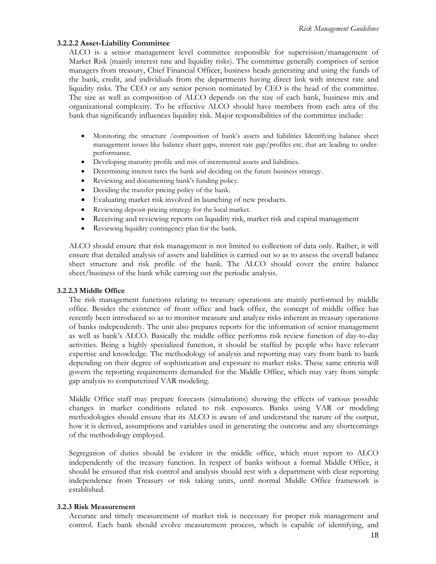#### **3.2.2.2 Asset-Liability Committee**

ALCO is a senior management level committee responsible for supervision/management of Market Risk (mainly interest rate and liquidity risks). The committee generally comprises of senior managers from treasury, Chief Financial Officer, business heads generating and using the funds of the bank, credit, and individuals from the departments having direct link with interest rate and liquidity risks. The CEO or any senior person nominated by CEO is the head of the committee. The size as well as composition of ALCO depends on the size of each bank, business mix and organizational complexity. To be effective ALCO should have members from each area of the bank that significantly influences liquidity risk. Major responsibilities of the committee include:

- Monitoring the structure /composition of bank's assets and liabilities Identifying balance sheet management issues like balance sheet gaps, interest rate gap/profiles etc. that are leading to underperformance.
- Developing maturity profile and mix of incremental assets and liabilities.
- Determining interest rates the bank and deciding on the future business strategy.
- Reviewing and documenting bank's funding policy.
- Deciding the transfer pricing policy of the bank.
- Evaluating market risk involved in launching of new products.
- Reviewing deposit-pricing strategy for the local market.
- Receiving and reviewing reports on liquidity risk, market risk and capital management
- Reviewing liquidity contingency plan for the bank.

ALCO should ensure that risk management is not limited to collection of data only. Rather, it will ensure that detailed analysis of assets and liabilities is carried out so as to assess the overall balance sheet structure and risk profile of the bank. The ALCO should cover the entire balance sheet/business of the bank while carrying out the periodic analysis.

#### **3.2.2.3 Middle Office**

The risk management functions relating to treasury operations are mainly performed by middle office. Besides the existence of front office and back office, the concept of middle office has recently been introduced so as to monitor measure and analyze risks inherent in treasury operations of banks independently. The unit also prepares reports for the information of senior management as well as bank's ALCO. Basically the middle office performs risk review function of day-to-day activities. Being a highly specialized function, it should be staffed by people who have relevant expertise and knowledge*.* The methodology of analysis and reporting may vary from bank to bank depending on their degree of sophistication and exposure to market risks. These same criteria will govern the reporting requirements demanded for the Middle Office, which may vary from simple gap analysis to computerized VAR modeling.

Middle Office staff may prepare forecasts (simulations) showing the effects of various possible changes in market conditions related to risk exposures. Banks using VAR or modeling methodologies should ensure that its ALCO is aware of and understand the nature of the output, how it is derived, assumptions and variables used in generating the outcome and any shortcomings of the methodology employed.

Segregation of duties should be evident in the middle office, which must report to ALCO independently of the treasury function. In respect of banks without a formal Middle Office, it should be ensured that risk control and analysis should rest with a department with clear reporting independence from Treasury or risk taking units, until normal Middle Office framework is established.

#### **3.2.3 Risk Measurement**

Accurate and timely measurement of market risk is necessary for proper risk management and control. Each bank should evolve measurement process, which is capable of identifying, and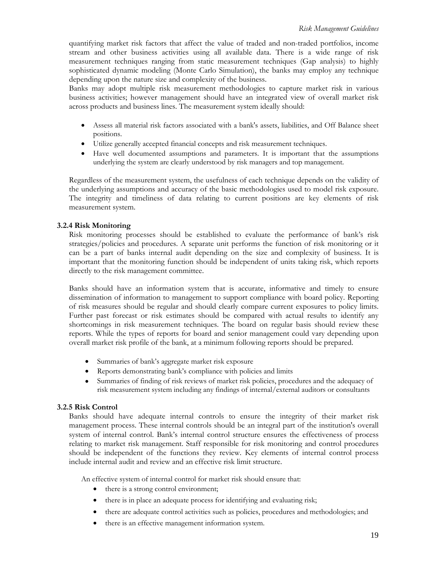quantifying market risk factors that affect the value of traded and non-traded portfolios, income stream and other business activities using all available data. There is a wide range of risk measurement techniques ranging from static measurement techniques (Gap analysis) to highly sophisticated dynamic modeling (Monte Carlo Simulation), the banks may employ any technique depending upon the nature size and complexity of the business.

Banks may adopt multiple risk measurement methodologies to capture market risk in various business activities; however management should have an integrated view of overall market risk across products and business lines. The measurement system ideally should:

- Assess all material risk factors associated with a bank's assets, liabilities, and Off Balance sheet positions.
- Utilize generally accepted financial concepts and risk measurement techniques.
- Have well documented assumptions and parameters. It is important that the assumptions underlying the system are clearly understood by risk managers and top management.

Regardless of the measurement system, the usefulness of each technique depends on the validity of the underlying assumptions and accuracy of the basic methodologies used to model risk exposure. The integrity and timeliness of data relating to current positions are key elements of risk measurement system.

# **3.2.4 Risk Monitoring**

Risk monitoring processes should be established to evaluate the performance of bank's risk strategies/policies and procedures. A separate unit performs the function of risk monitoring or it can be a part of banks internal audit depending on the size and complexity of business. It is important that the monitoring function should be independent of units taking risk, which reports directly to the risk management committee.

Banks should have an information system that is accurate, informative and timely to ensure dissemination of information to management to support compliance with board policy. Reporting of risk measures should be regular and should clearly compare current exposures to policy limits. Further past forecast or risk estimates should be compared with actual results to identify any shortcomings in risk measurement techniques. The board on regular basis should review these reports. While the types of reports for board and senior management could vary depending upon overall market risk profile of the bank, at a minimum following reports should be prepared.

- Summaries of bank's aggregate market risk exposure
- Reports demonstrating bank's compliance with policies and limits
- Summaries of finding of risk reviews of market risk policies, procedures and the adequacy of risk measurement system including any findings of internal/external auditors or consultants

# **3.2.5 Risk Control**

Banks should have adequate internal controls to ensure the integrity of their market risk management process. These internal controls should be an integral part of the institution's overall system of internal control. Bank's internal control structure ensures the effectiveness of process relating to market risk management. Staff responsible for risk monitoring and control procedures should be independent of the functions they review. Key elements of internal control process include internal audit and review and an effective risk limit structure.

An effective system of internal control for market risk should ensure that:

- there is a strong control environment;
- there is in place an adequate process for identifying and evaluating risk;
- there are adequate control activities such as policies, procedures and methodologies; and
- there is an effective management information system.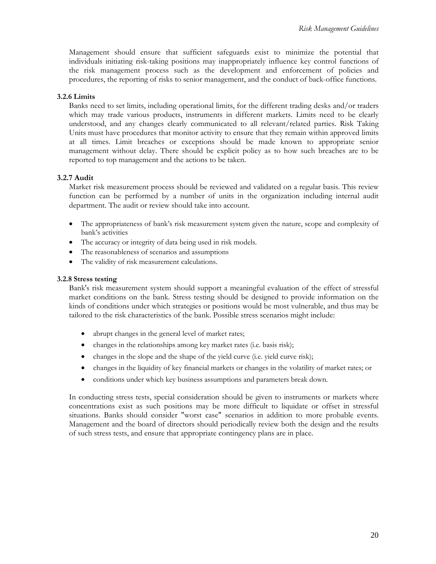Management should ensure that sufficient safeguards exist to minimize the potential that individuals initiating risk-taking positions may inappropriately influence key control functions of the risk management process such as the development and enforcement of policies and procedures, the reporting of risks to senior management, and the conduct of back-office functions.

#### **3.2.6 Limits**

Banks need to set limits, including operational limits, for the different trading desks and/or traders which may trade various products, instruments in different markets. Limits need to be clearly understood, and any changes clearly communicated to all relevant/related parties. Risk Taking Units must have procedures that monitor activity to ensure that they remain within approved limits at all times. Limit breaches or exceptions should be made known to appropriate senior management without delay. There should be explicit policy as to how such breaches are to be reported to top management and the actions to be taken.

#### **3.2.7 Audit**

Market risk measurement process should be reviewed and validated on a regular basis. This review function can be performed by a number of units in the organization including internal audit department. The audit or review should take into account.

- The appropriateness of bank's risk measurement system given the nature, scope and complexity of bank's activities
- The accuracy or integrity of data being used in risk models.
- The reasonableness of scenarios and assumptions
- The validity of risk measurement calculations.

#### **3.2.8 Stress testing**

Bank's risk measurement system should support a meaningful evaluation of the effect of stressful market conditions on the bank. Stress testing should be designed to provide information on the kinds of conditions under which strategies or positions would be most vulnerable, and thus may be tailored to the risk characteristics of the bank. Possible stress scenarios might include:

- abrupt changes in the general level of market rates;
- changes in the relationships among key market rates (i.e. basis risk);
- changes in the slope and the shape of the yield curve (i.e. yield curve risk);
- changes in the liquidity of key financial markets or changes in the volatility of market rates; or
- conditions under which key business assumptions and parameters break down.

In conducting stress tests, special consideration should be given to instruments or markets where concentrations exist as such positions may be more difficult to liquidate or offset in stressful situations. Banks should consider "worst case" scenarios in addition to more probable events. Management and the board of directors should periodically review both the design and the results of such stress tests, and ensure that appropriate contingency plans are in place.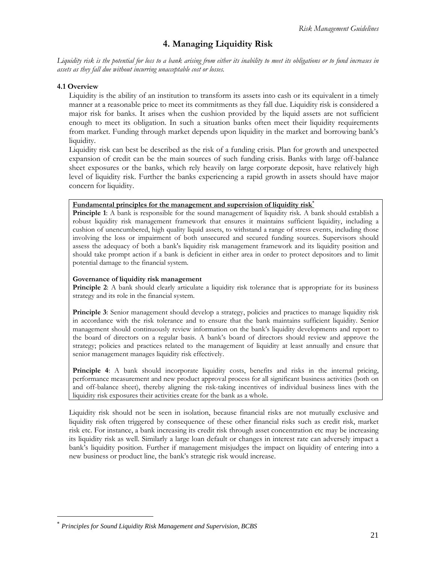# **4. Managing Liquidity Risk**

*Liquidity risk is the potential for loss to a bank arising from either its inability to meet its obligations or to fund increases in assets as they fall due without incurring unacceptable cost or losses.* 

## **4.1 Overview**

Liquidity is the ability of an institution to transform its assets into cash or its equivalent in a timely manner at a reasonable price to meet its commitments as they fall due. Liquidity risk is considered a major risk for banks. It arises when the cushion provided by the liquid assets are not sufficient enough to meet its obligation. In such a situation banks often meet their liquidity requirements from market. Funding through market depends upon liquidity in the market and borrowing bank's liquidity.

Liquidity risk can best be described as the risk of a funding crisis. Plan for growth and unexpected expansion of credit can be the main sources of such funding crisis. Banks with large off-balance sheet exposures or the banks, which rely heavily on large corporate deposit, have relatively high level of liquidity risk. Further the banks experiencing a rapid growth in assets should have major concern for liquidity.

#### **Fundamental principles for the management and supervision of liquidity risk**<sup>∗</sup>

**Principle 1**: A bank is responsible for the sound management of liquidity risk. A bank should establish a robust liquidity risk management framework that ensures it maintains sufficient liquidity, including a cushion of unencumbered, high quality liquid assets, to withstand a range of stress events, including those involving the loss or impairment of both unsecured and secured funding sources. Supervisors should assess the adequacy of both a bank's liquidity risk management framework and its liquidity position and should take prompt action if a bank is deficient in either area in order to protect depositors and to limit potential damage to the financial system.

#### **Governance of liquidity risk management**

**Principle 2**: A bank should clearly articulate a liquidity risk tolerance that is appropriate for its business strategy and its role in the financial system.

**Principle 3**: Senior management should develop a strategy, policies and practices to manage liquidity risk in accordance with the risk tolerance and to ensure that the bank maintains sufficient liquidity. Senior management should continuously review information on the bank's liquidity developments and report to the board of directors on a regular basis. A bank's board of directors should review and approve the strategy; policies and practices related to the management of liquidity at least annually and ensure that senior management manages liquidity risk effectively.

**Principle 4**: A bank should incorporate liquidity costs, benefits and risks in the internal pricing, performance measurement and new product approval process for all significant business activities (both on and off-balance sheet), thereby aligning the risk-taking incentives of individual business lines with the liquidity risk exposures their activities create for the bank as a whole.

Liquidity risk should not be seen in isolation, because financial risks are not mutually exclusive and liquidity risk often triggered by consequence of these other financial risks such as credit risk, market risk etc. For instance, a bank increasing its credit risk through asset concentration etc may be increasing its liquidity risk as well. Similarly a large loan default or changes in interest rate can adversely impact a bank's liquidity position. Further if management misjudges the impact on liquidity of entering into a new business or product line, the bank's strategic risk would increase.

 $\overline{a}$ 

<sup>∗</sup> *Principles for Sound Liquidity Risk Management and Supervision, BCBS*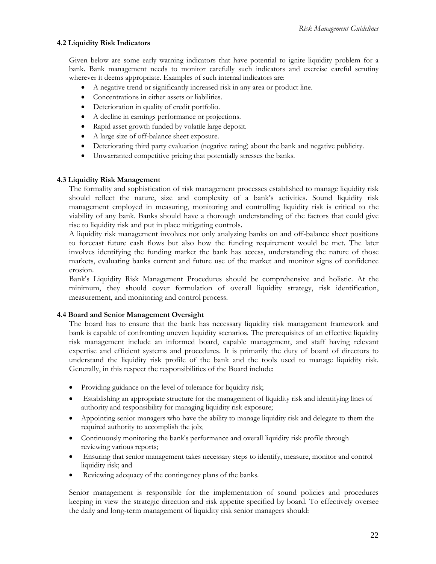#### **4.2 Liquidity Risk Indicators**

Given below are some early warning indicators that have potential to ignite liquidity problem for a bank. Bank management needs to monitor carefully such indicators and exercise careful scrutiny wherever it deems appropriate. Examples of such internal indicators are:

- A negative trend or significantly increased risk in any area or product line.
- Concentrations in either assets or liabilities.
- Deterioration in quality of credit portfolio.
- A decline in earnings performance or projections.
- Rapid asset growth funded by volatile large deposit.
- A large size of off-balance sheet exposure.
- Deteriorating third party evaluation (negative rating) about the bank and negative publicity.
- Unwarranted competitive pricing that potentially stresses the banks.

#### **4.3 Liquidity Risk Management**

The formality and sophistication of risk management processes established to manage liquidity risk should reflect the nature, size and complexity of a bank's activities. Sound liquidity risk management employed in measuring, monitoring and controlling liquidity risk is critical to the viability of any bank. Banks should have a thorough understanding of the factors that could give rise to liquidity risk and put in place mitigating controls.

A liquidity risk management involves not only analyzing banks on and off-balance sheet positions to forecast future cash flows but also how the funding requirement would be met. The later involves identifying the funding market the bank has access, understanding the nature of those markets, evaluating banks current and future use of the market and monitor signs of confidence erosion.

Bank's Liquidity Risk Management Procedures should be comprehensive and holistic. At the minimum, they should cover formulation of overall liquidity strategy, risk identification, measurement, and monitoring and control process.

#### **4.4 Board and Senior Management Oversight**

The board has to ensure that the bank has necessary liquidity risk management framework and bank is capable of confronting uneven liquidity scenarios. The prerequisites of an effective liquidity risk management include an informed board, capable management, and staff having relevant expertise and efficient systems and procedures. It is primarily the duty of board of directors to understand the liquidity risk profile of the bank and the tools used to manage liquidity risk. Generally, in this respect the responsibilities of the Board include:

- Providing guidance on the level of tolerance for liquidity risk;
- Establishing an appropriate structure for the management of liquidity risk and identifying lines of authority and responsibility for managing liquidity risk exposure;
- Appointing senior managers who have the ability to manage liquidity risk and delegate to them the required authority to accomplish the job;
- Continuously monitoring the bank's performance and overall liquidity risk profile through reviewing various reports;
- Ensuring that senior management takes necessary steps to identify, measure, monitor and control liquidity risk; and
- Reviewing adequacy of the contingency plans of the banks.

Senior management is responsible for the implementation of sound policies and procedures keeping in view the strategic direction and risk appetite specified by board. To effectively oversee the daily and long-term management of liquidity risk senior managers should: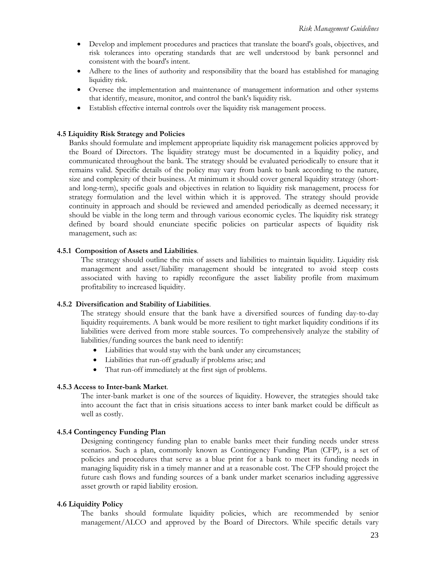- Develop and implement procedures and practices that translate the board's goals, objectives, and risk tolerances into operating standards that are well understood by bank personnel and consistent with the board's intent.
- Adhere to the lines of authority and responsibility that the board has established for managing liquidity risk.
- Oversee the implementation and maintenance of management information and other systems that identify, measure, monitor, and control the bank's liquidity risk.
- Establish effective internal controls over the liquidity risk management process.

#### **4.5 Liquidity Risk Strategy and Policies**

Banks should formulate and implement appropriate liquidity risk management policies approved by the Board of Directors. The liquidity strategy must be documented in a liquidity policy, and communicated throughout the bank. The strategy should be evaluated periodically to ensure that it remains valid. Specific details of the policy may vary from bank to bank according to the nature, size and complexity of their business. At minimum it should cover general liquidity strategy (shortand long-term), specific goals and objectives in relation to liquidity risk management, process for strategy formulation and the level within which it is approved. The strategy should provide continuity in approach and should be reviewed and amended periodically as deemed necessary; it should be viable in the long term and through various economic cycles. The liquidity risk strategy defined by board should enunciate specific policies on particular aspects of liquidity risk management, such as:

#### **4.5.1 Composition of Assets and Liabilities**.

The strategy should outline the mix of assets and liabilities to maintain liquidity. Liquidity risk management and asset/liability management should be integrated to avoid steep costs associated with having to rapidly reconfigure the asset liability profile from maximum profitability to increased liquidity.

#### **4.5.2 Diversification and Stability of Liabilities**.

The strategy should ensure that the bank have a diversified sources of funding day-to-day liquidity requirements. A bank would be more resilient to tight market liquidity conditions if its liabilities were derived from more stable sources. To comprehensively analyze the stability of liabilities/funding sources the bank need to identify:

- Liabilities that would stay with the bank under any circumstances;
- Liabilities that run-off gradually if problems arise; and
- That run-off immediately at the first sign of problems.

#### **4.5.3 Access to Inter-bank Market**.

The inter-bank market is one of the sources of liquidity. However, the strategies should take into account the fact that in crisis situations access to inter bank market could be difficult as well as costly.

#### **4.5.4 Contingency Funding Plan**

Designing contingency funding plan to enable banks meet their funding needs under stress scenarios. Such a plan, commonly known as Contingency Funding Plan (CFP), is a set of policies and procedures that serve as a blue print for a bank to meet its funding needs in managing liquidity risk in a timely manner and at a reasonable cost. The CFP should project the future cash flows and funding sources of a bank under market scenarios including aggressive asset growth or rapid liability erosion.

#### **4.6 Liquidity Policy**

The banks should formulate liquidity policies, which are recommended by senior management/ALCO and approved by the Board of Directors. While specific details vary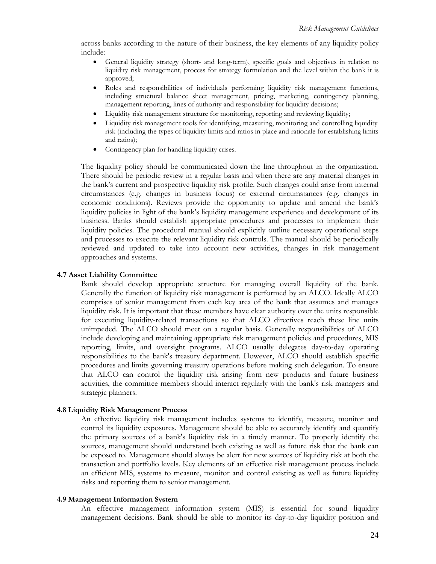across banks according to the nature of their business, the key elements of any liquidity policy include:

- General liquidity strategy (short- and long-term), specific goals and objectives in relation to liquidity risk management, process for strategy formulation and the level within the bank it is approved;
- Roles and responsibilities of individuals performing liquidity risk management functions, including structural balance sheet management, pricing, marketing, contingency planning, management reporting, lines of authority and responsibility for liquidity decisions;
- Liquidity risk management structure for monitoring, reporting and reviewing liquidity;
- Liquidity risk management tools for identifying, measuring, monitoring and controlling liquidity risk (including the types of liquidity limits and ratios in place and rationale for establishing limits and ratios);
- Contingency plan for handling liquidity crises.

The liquidity policy should be communicated down the line throughout in the organization. There should be periodic review in a regular basis and when there are any material changes in the bank's current and prospective liquidity risk profile. Such changes could arise from internal circumstances (e.g. changes in business focus) or external circumstances (e.g. changes in economic conditions). Reviews provide the opportunity to update and amend the bank's liquidity policies in light of the bank's liquidity management experience and development of its business. Banks should establish appropriate procedures and processes to implement their liquidity policies. The procedural manual should explicitly outline necessary operational steps and processes to execute the relevant liquidity risk controls. The manual should be periodically reviewed and updated to take into account new activities, changes in risk management approaches and systems.

#### **4.7 Asset Liability Committee**

Bank should develop appropriate structure for managing overall liquidity of the bank. Generally the function of liquidity risk management is performed by an ALCO. Ideally ALCO comprises of senior management from each key area of the bank that assumes and manages liquidity risk. It is important that these members have clear authority over the units responsible for executing liquidity-related transactions so that ALCO directives reach these line units unimpeded. The ALCO should meet on a regular basis. Generally responsibilities of ALCO include developing and maintaining appropriate risk management policies and procedures, MIS reporting, limits, and oversight programs. ALCO usually delegates day-to-day operating responsibilities to the bank's treasury department. However, ALCO should establish specific procedures and limits governing treasury operations before making such delegation. To ensure that ALCO can control the liquidity risk arising from new products and future business activities, the committee members should interact regularly with the bank's risk managers and strategic planners.

#### **4.8 Liquidity Risk Management Process**

An effective liquidity risk management includes systems to identify, measure, monitor and control its liquidity exposures. Management should be able to accurately identify and quantify the primary sources of a bank's liquidity risk in a timely manner. To properly identify the sources, management should understand both existing as well as future risk that the bank can be exposed to. Management should always be alert for new sources of liquidity risk at both the transaction and portfolio levels. Key elements of an effective risk management process include an efficient MIS, systems to measure, monitor and control existing as well as future liquidity risks and reporting them to senior management.

#### **4.9 Management Information System**

An effective management information system (MIS) is essential for sound liquidity management decisions. Bank should be able to monitor its day-to-day liquidity position and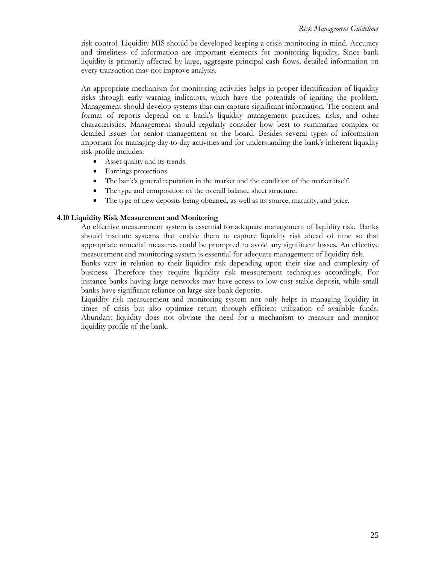risk control. Liquidity MIS should be developed keeping a crisis monitoring in mind. Accuracy and timeliness of information are important elements for monitoring liquidity. Since bank liquidity is primarily affected by large, aggregate principal cash flows, detailed information on every transaction may not improve analysis.

An appropriate mechanism for monitoring activities helps in proper identification of liquidity risks through early warning indicators, which have the potentials of igniting the problem. Management should develop systems that can capture significant information. The content and format of reports depend on a bank's liquidity management practices, risks, and other characteristics. Management should regularly consider how best to summarize complex or detailed issues for senior management or the board. Besides several types of information important for managing day-to-day activities and for understanding the bank's inherent liquidity risk profile includes:

- Asset quality and its trends.
- Earnings projections.
- The bank's general reputation in the market and the condition of the market itself.
- The type and composition of the overall balance sheet structure.
- The type of new deposits being obtained, as well as its source, maturity, and price.

# **4.10 Liquidity Risk Measurement and Monitoring**

An effective measurement system is essential for adequate management of liquidity risk. Banks should institute systems that enable them to capture liquidity risk ahead of time so that appropriate remedial measures could be prompted to avoid any significant losses. An effective measurement and monitoring system is essential for adequate management of liquidity risk.

Banks vary in relation to their liquidity risk depending upon their size and complexity of business. Therefore they require liquidity risk measurement techniques accordingly. For instance banks having large networks may have access to low cost stable deposit, while small banks have significant reliance on large size bank deposits.

Liquidity risk measurement and monitoring system not only helps in managing liquidity in times of crisis but also optimize return through efficient utilization of available funds. Abundant liquidity does not obviate the need for a mechanism to measure and monitor liquidity profile of the bank.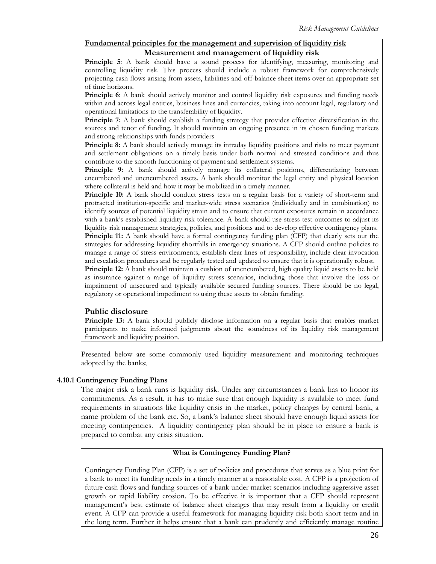## **Fundamental principles for the management and supervision of liquidity risk Measurement and management of liquidity risk**

**Principle 5**: A bank should have a sound process for identifying, measuring, monitoring and controlling liquidity risk. This process should include a robust framework for comprehensively projecting cash flows arising from assets, liabilities and off-balance sheet items over an appropriate set of time horizons.

**Principle 6**: A bank should actively monitor and control liquidity risk exposures and funding needs within and across legal entities, business lines and currencies, taking into account legal, regulatory and operational limitations to the transferability of liquidity.

**Principle 7:** A bank should establish a funding strategy that provides effective diversification in the sources and tenor of funding. It should maintain an ongoing presence in its chosen funding markets and strong relationships with funds providers

**Principle 8:** A bank should actively manage its intraday liquidity positions and risks to meet payment and settlement obligations on a timely basis under both normal and stressed conditions and thus contribute to the smooth functioning of payment and settlement systems.

**Principle 9:** A bank should actively manage its collateral positions, differentiating between encumbered and unencumbered assets. A bank should monitor the legal entity and physical location where collateral is held and how it may be mobilized in a timely manner.

**Principle 10:** A bank should conduct stress tests on a regular basis for a variety of short-term and protracted institution-specific and market-wide stress scenarios (individually and in combination) to identify sources of potential liquidity strain and to ensure that current exposures remain in accordance with a bank's established liquidity risk tolerance. A bank should use stress test outcomes to adjust its liquidity risk management strategies, policies, and positions and to develop effective contingency plans. **Principle 11:** A bank should have a formal contingency funding plan (CFP) that clearly sets out the strategies for addressing liquidity shortfalls in emergency situations. A CFP should outline policies to manage a range of stress environments, establish clear lines of responsibility, include clear invocation and escalation procedures and be regularly tested and updated to ensure that it is operationally robust.

**Principle 12:** A bank should maintain a cushion of unencumbered, high quality liquid assets to be held as insurance against a range of liquidity stress scenarios, including those that involve the loss or impairment of unsecured and typically available secured funding sources. There should be no legal, regulatory or operational impediment to using these assets to obtain funding.

#### **Public disclosure**

**Principle 13:** A bank should publicly disclose information on a regular basis that enables market participants to make informed judgments about the soundness of its liquidity risk management framework and liquidity position.

Presented below are some commonly used liquidity measurement and monitoring techniques adopted by the banks;

#### **4.10.1 Contingency Funding Plans**

The major risk a bank runs is liquidity risk. Under any circumstances a bank has to honor its commitments. As a result, it has to make sure that enough liquidity is available to meet fund requirements in situations like liquidity crisis in the market, policy changes by central bank, a name problem of the bank etc. So, a bank's balance sheet should have enough liquid assets for meeting contingencies. A liquidity contingency plan should be in place to ensure a bank is prepared to combat any crisis situation.

#### **What is Contingency Funding Plan?**

Contingency Funding Plan (CFP) is a set of policies and procedures that serves as a blue print for a bank to meet its funding needs in a timely manner at a reasonable cost. A CFP is a projection of future cash flows and funding sources of a bank under market scenarios including aggressive asset growth or rapid liability erosion. To be effective it is important that a CFP should represent management's best estimate of balance sheet changes that may result from a liquidity or credit event. A CFP can provide a useful framework for managing liquidity risk both short term and in the long term. Further it helps ensure that a bank can prudently and efficiently manage routine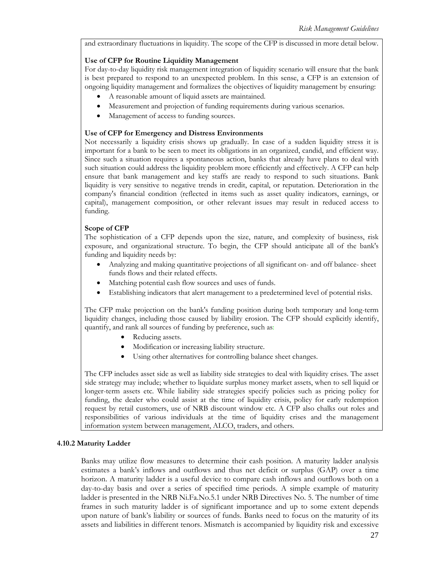and extraordinary fluctuations in liquidity. The scope of the CFP is discussed in more detail below.

# **Use of CFP for Routine Liquidity Management**

For day-to-day liquidity risk management integration of liquidity scenario will ensure that the bank is best prepared to respond to an unexpected problem. In this sense, a CFP is an extension of ongoing liquidity management and formalizes the objectives of liquidity management by ensuring:

- A reasonable amount of liquid assets are maintained.
- Measurement and projection of funding requirements during various scenarios.
- Management of access to funding sources.

## **Use of CFP for Emergency and Distress Environments**

Not necessarily a liquidity crisis shows up gradually. In case of a sudden liquidity stress it is important for a bank to be seen to meet its obligations in an organized, candid, and efficient way. Since such a situation requires a spontaneous action, banks that already have plans to deal with such situation could address the liquidity problem more efficiently and effectively. A CFP can help ensure that bank management and key staffs are ready to respond to such situations. Bank liquidity is very sensitive to negative trends in credit, capital, or reputation. Deterioration in the company's financial condition (reflected in items such as asset quality indicators, earnings, or capital), management composition, or other relevant issues may result in reduced access to funding.

#### **Scope of CFP**

The sophistication of a CFP depends upon the size, nature, and complexity of business, risk exposure, and organizational structure. To begin, the CFP should anticipate all of the bank's funding and liquidity needs by:

- Analyzing and making quantitative projections of all significant on- and off balance- sheet funds flows and their related effects.
- Matching potential cash flow sources and uses of funds.
- Establishing indicators that alert management to a predetermined level of potential risks.

The CFP make projection on the bank's funding position during both temporary and long-term liquidity changes, including those caused by liability erosion. The CFP should explicitly identify, quantify, and rank all sources of funding by preference, such as:

- Reducing assets.
- Modification or increasing liability structure.
- Using other alternatives for controlling balance sheet changes.

The CFP includes asset side as well as liability side strategies to deal with liquidity crises. The asset side strategy may include; whether to liquidate surplus money market assets, when to sell liquid or longer-term assets etc. While liability side strategies specify policies such as pricing policy for funding, the dealer who could assist at the time of liquidity crisis, policy for early redemption request by retail customers, use of NRB discount window etc. A CFP also chalks out roles and responsibilities of various individuals at the time of liquidity crises and the management information system between management, ALCO, traders, and others.

#### **4.10.2 Maturity Ladder**

Banks may utilize flow measures to determine their cash position. A maturity ladder analysis estimates a bank's inflows and outflows and thus net deficit or surplus (GAP) over a time horizon. A maturity ladder is a useful device to compare cash inflows and outflows both on a day-to-day basis and over a series of specified time periods. A simple example of maturity ladder is presented in the NRB Ni.Fa.No.5.1 under NRB Directives No. 5. The number of time frames in such maturity ladder is of significant importance and up to some extent depends upon nature of bank's liability or sources of funds. Banks need to focus on the maturity of its assets and liabilities in different tenors. Mismatch is accompanied by liquidity risk and excessive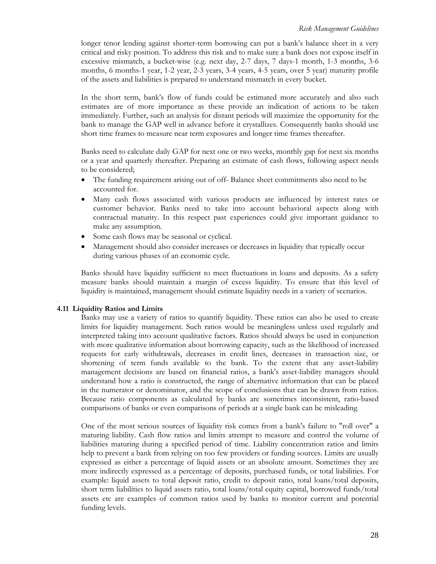longer tenor lending against shorter-term borrowing can put a bank's balance sheet in a very critical and risky position. To address this risk and to make sure a bank does not expose itself in excessive mismatch, a bucket-wise (e.g. next day, 2-7 days, 7 days-1 month, 1-3 months, 3-6 months, 6 months-1 year, 1-2 year, 2-3 years, 3-4 years, 4-5 years, over 5 year) maturity profile of the assets and liabilities is prepared to understand mismatch in every bucket.

In the short term, bank's flow of funds could be estimated more accurately and also such estimates are of more importance as these provide an indication of actions to be taken immediately. Further, such an analysis for distant periods will maximize the opportunity for the bank to manage the GAP well in advance before it crystallizes. Consequently banks should use short time frames to measure near term exposures and longer time frames thereafter.

Banks need to calculate daily GAP for next one or two weeks, monthly gap for next six months or a year and quarterly thereafter. Preparing an estimate of cash flows, following aspect needs to be considered;

- The funding requirement arising out of off- Balance sheet commitments also need to be accounted for.
- Many cash flows associated with various products are influenced by interest rates or customer behavior. Banks need to take into account behavioral aspects along with contractual maturity. In this respect past experiences could give important guidance to make any assumption.
- Some cash flows may be seasonal or cyclical.
- Management should also consider increases or decreases in liquidity that typically occur during various phases of an economic cycle.

Banks should have liquidity sufficient to meet fluctuations in loans and deposits. As a safety measure banks should maintain a margin of excess liquidity. To ensure that this level of liquidity is maintained, management should estimate liquidity needs in a variety of scenarios.

#### . **4.11 Liquidity Ratios and Limits**

Banks may use a variety of ratios to quantify liquidity. These ratios can also be used to create limits for liquidity management. Such ratios would be meaningless unless used regularly and interpreted taking into account qualitative factors. Ratios should always be used in conjunction with more qualitative information about borrowing capacity, such as the likelihood of increased requests for early withdrawals, decreases in credit lines, decreases in transaction size, or shortening of term funds available to the bank. To the extent that any asset-liability management decisions are based on financial ratios, a bank's asset-liability managers should understand how a ratio is constructed, the range of alternative information that can be placed in the numerator or denominator, and the scope of conclusions that can be drawn from ratios. Because ratio components as calculated by banks are sometimes inconsistent, ratio-based comparisons of banks or even comparisons of periods at a single bank can be misleading.

One of the most serious sources of liquidity risk comes from a bank's failure to "roll over" a maturing liability. Cash flow ratios and limits attempt to measure and control the volume of liabilities maturing during a specified period of time. Liability concentration ratios and limits help to prevent a bank from relying on too few providers or funding sources. Limits are usually expressed as either a percentage of liquid assets or an absolute amount. Sometimes they are more indirectly expressed as a percentage of deposits, purchased funds, or total liabilities. For example: liquid assets to total deposit ratio, credit to deposit ratio, total loans/total deposits, short term liabilities to liquid assets ratio, total loans/total equity capital, borrowed funds/total assets etc are examples of common ratios used by banks to monitor current and potential funding levels.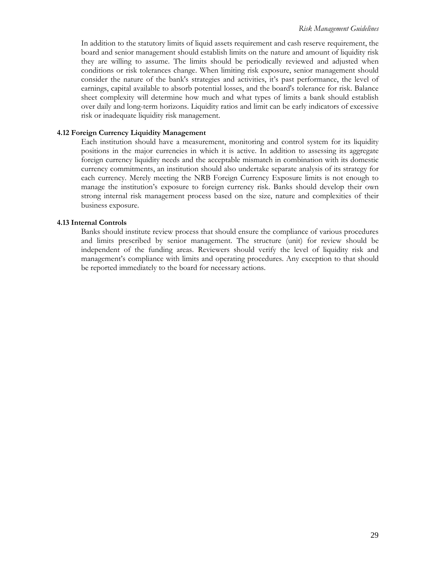In addition to the statutory limits of liquid assets requirement and cash reserve requirement, the board and senior management should establish limits on the nature and amount of liquidity risk they are willing to assume. The limits should be periodically reviewed and adjusted when conditions or risk tolerances change. When limiting risk exposure, senior management should consider the nature of the bank's strategies and activities, it's past performance, the level of earnings, capital available to absorb potential losses, and the board's tolerance for risk. Balance sheet complexity will determine how much and what types of limits a bank should establish over daily and long-term horizons. Liquidity ratios and limit can be early indicators of excessive risk or inadequate liquidity risk management.

#### **4.12 Foreign Currency Liquidity Management**

Each institution should have a measurement, monitoring and control system for its liquidity positions in the major currencies in which it is active. In addition to assessing its aggregate foreign currency liquidity needs and the acceptable mismatch in combination with its domestic currency commitments, an institution should also undertake separate analysis of its strategy for each currency. Merely meeting the NRB Foreign Currency Exposure limits is not enough to manage the institution's exposure to foreign currency risk. Banks should develop their own strong internal risk management process based on the size, nature and complexities of their business exposure.

#### **4.13 Internal Controls**

Banks should institute review process that should ensure the compliance of various procedures and limits prescribed by senior management. The structure (unit) for review should be independent of the funding areas. Reviewers should verify the level of liquidity risk and management's compliance with limits and operating procedures. Any exception to that should be reported immediately to the board for necessary actions.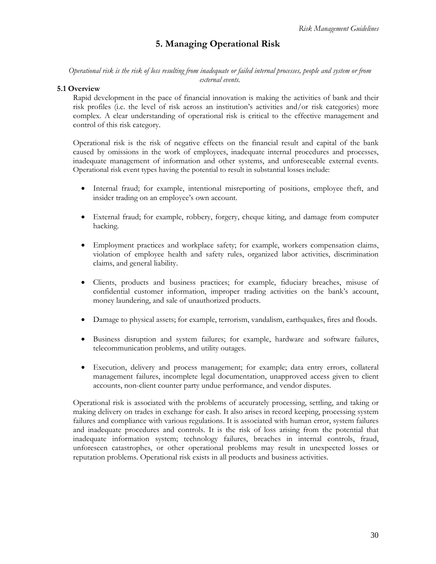# **5. Managing Operational Risk**

*Operational risk is the risk of loss resulting from inadequate or failed internal processes, people and system or from external events.* 

## **5.1 Overview**

Rapid development in the pace of financial innovation is making the activities of bank and their risk profiles (i.e. the level of risk across an institution's activities and/or risk categories) more complex. A clear understanding of operational risk is critical to the effective management and control of this risk category.

Operational risk is the risk of negative effects on the financial result and capital of the bank caused by omissions in the work of employees, inadequate internal procedures and processes, inadequate management of information and other systems, and unforeseeable external events. Operational risk event types having the potential to result in substantial losses include:

- Internal fraud; for example, intentional misreporting of positions, employee theft, and insider trading on an employee's own account.
- External fraud; for example, robbery, forgery, cheque kiting, and damage from computer hacking.
- Employment practices and workplace safety; for example, workers compensation claims, violation of employee health and safety rules, organized labor activities, discrimination claims, and general liability.
- Clients, products and business practices; for example, fiduciary breaches, misuse of confidential customer information, improper trading activities on the bank's account, money laundering, and sale of unauthorized products.
- Damage to physical assets; for example, terrorism, vandalism, earthquakes, fires and floods.
- Business disruption and system failures; for example, hardware and software failures, telecommunication problems, and utility outages.
- Execution, delivery and process management; for example; data entry errors, collateral management failures, incomplete legal documentation, unapproved access given to client accounts, non-client counter party undue performance, and vendor disputes.

Operational risk is associated with the problems of accurately processing, settling, and taking or making delivery on trades in exchange for cash. It also arises in record keeping, processing system failures and compliance with various regulations. It is associated with human error, system failures and inadequate procedures and controls. It is the risk of loss arising from the potential that inadequate information system; technology failures, breaches in internal controls, fraud, unforeseen catastrophes, or other operational problems may result in unexpected losses or reputation problems. Operational risk exists in all products and business activities.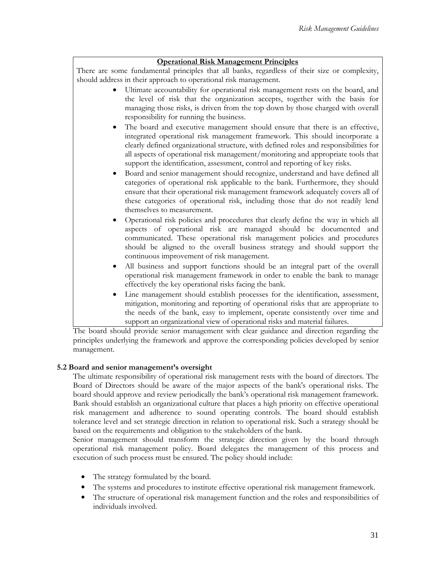# **Operational Risk Management Principles**

There are some fundamental principles that all banks, regardless of their size or complexity, should address in their approach to operational risk management.

- Ultimate accountability for operational risk management rests on the board, and the level of risk that the organization accepts, together with the basis for managing those risks, is driven from the top down by those charged with overall responsibility for running the business.
- The board and executive management should ensure that there is an effective, integrated operational risk management framework. This should incorporate a clearly defined organizational structure, with defined roles and responsibilities for all aspects of operational risk management/monitoring and appropriate tools that support the identification, assessment, control and reporting of key risks.
- Board and senior management should recognize, understand and have defined all categories of operational risk applicable to the bank. Furthermore, they should ensure that their operational risk management framework adequately covers all of these categories of operational risk, including those that do not readily lend themselves to measurement.
- Operational risk policies and procedures that clearly define the way in which all aspects of operational risk are managed should be documented and communicated. These operational risk management policies and procedures should be aligned to the overall business strategy and should support the continuous improvement of risk management.
- All business and support functions should be an integral part of the overall operational risk management framework in order to enable the bank to manage effectively the key operational risks facing the bank.
- Line management should establish processes for the identification, assessment, mitigation, monitoring and reporting of operational risks that are appropriate to the needs of the bank, easy to implement, operate consistently over time and support an organizational view of operational risks and material failures.

The board should provide senior management with clear guidance and direction regarding the principles underlying the framework and approve the corresponding policies developed by senior management.

# **5.2 Board and senior management's oversight**

The ultimate responsibility of operational risk management rests with the board of directors. The Board of Directors should be aware of the major aspects of the bank's operational risks. The board should approve and review periodically the bank's operational risk management framework. Bank should establish an organizational culture that places a high priority on effective operational risk management and adherence to sound operating controls. The board should establish tolerance level and set strategic direction in relation to operational risk. Such a strategy should be based on the requirements and obligation to the stakeholders of the bank.

Senior management should transform the strategic direction given by the board through operational risk management policy. Board delegates the management of this process and execution of such process must be ensured. The policy should include:

- The strategy formulated by the board.
- The systems and procedures to institute effective operational risk management framework.
- The structure of operational risk management function and the roles and responsibilities of individuals involved.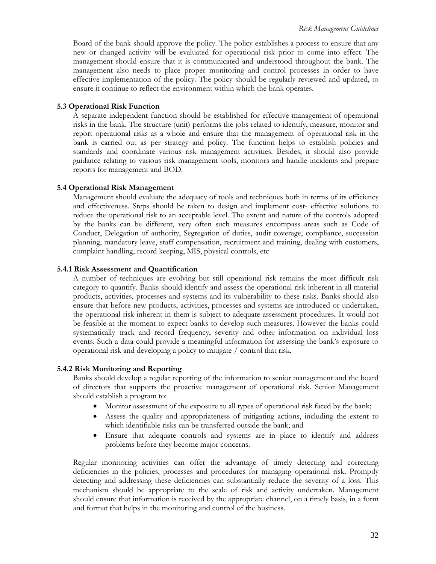Board of the bank should approve the policy. The policy establishes a process to ensure that any new or changed activity will be evaluated for operational risk prior to come into effect. The management should ensure that it is communicated and understood throughout the bank. The management also needs to place proper monitoring and control processes in order to have effective implementation of the policy. The policy should be regularly reviewed and updated, to ensure it continue to reflect the environment within which the bank operates.

#### **5.3 Operational Risk Function**

A separate independent function should be established for effective management of operational risks in the bank. The structure (unit) performs the jobs related to identify, measure, monitor and report operational risks as a whole and ensure that the management of operational risk in the bank is carried out as per strategy and policy. The function helps to establish policies and standards and coordinate various risk management activities. Besides, it should also provide guidance relating to various risk management tools, monitors and handle incidents and prepare reports for management and BOD.

# **5.4 Operational Risk Management**

Management should evaluate the adequacy of tools and techniques both in terms of its efficiency and effectiveness. Steps should be taken to design and implement cost- effective solutions to reduce the operational risk to an acceptable level. The extent and nature of the controls adopted by the banks can be different, very often such measures encompass areas such as Code of Conduct, Delegation of authority, Segregation of duties, audit coverage, compliance, succession planning, mandatory leave, staff compensation, recruitment and training, dealing with customers, complaint handling, record keeping, MIS, physical controls, etc

# **5.4.1 Risk Assessment and Quantification**

A number of techniques are evolving but still operational risk remains the most difficult risk category to quantify. Banks should identify and assess the operational risk inherent in all material products, activities, processes and systems and its vulnerability to these risks. Banks should also ensure that before new products, activities, processes and systems are introduced or undertaken, the operational risk inherent in them is subject to adequate assessment procedures**.** It would not be feasible at the moment to expect banks to develop such measures. However the banks could systematically track and record frequency, severity and other information on individual loss events. Such a data could provide a meaningful information for assessing the bank's exposure to operational risk and developing a policy to mitigate / control that risk.

#### **5.4.2 Risk Monitoring and Reporting**

Banks should develop a regular reporting of the information to senior management and the board of directors that supports the proactive management of operational risk. Senior Management should establish a program to:

- Monitor assessment of the exposure to all types of operational risk faced by the bank;
- Assess the quality and appropriateness of mitigating actions, including the extent to which identifiable risks can be transferred outside the bank; and
- Ensure that adequate controls and systems are in place to identify and address problems before they become major concerns.

Regular monitoring activities can offer the advantage of timely detecting and correcting deficiencies in the policies, processes and procedures for managing operational risk. Promptly detecting and addressing these deficiencies can substantially reduce the severity of a loss. This mechanism should be appropriate to the scale of risk and activity undertaken. Management should ensure that information is received by the appropriate channel, on a timely basis, in a form and format that helps in the monitoring and control of the business.